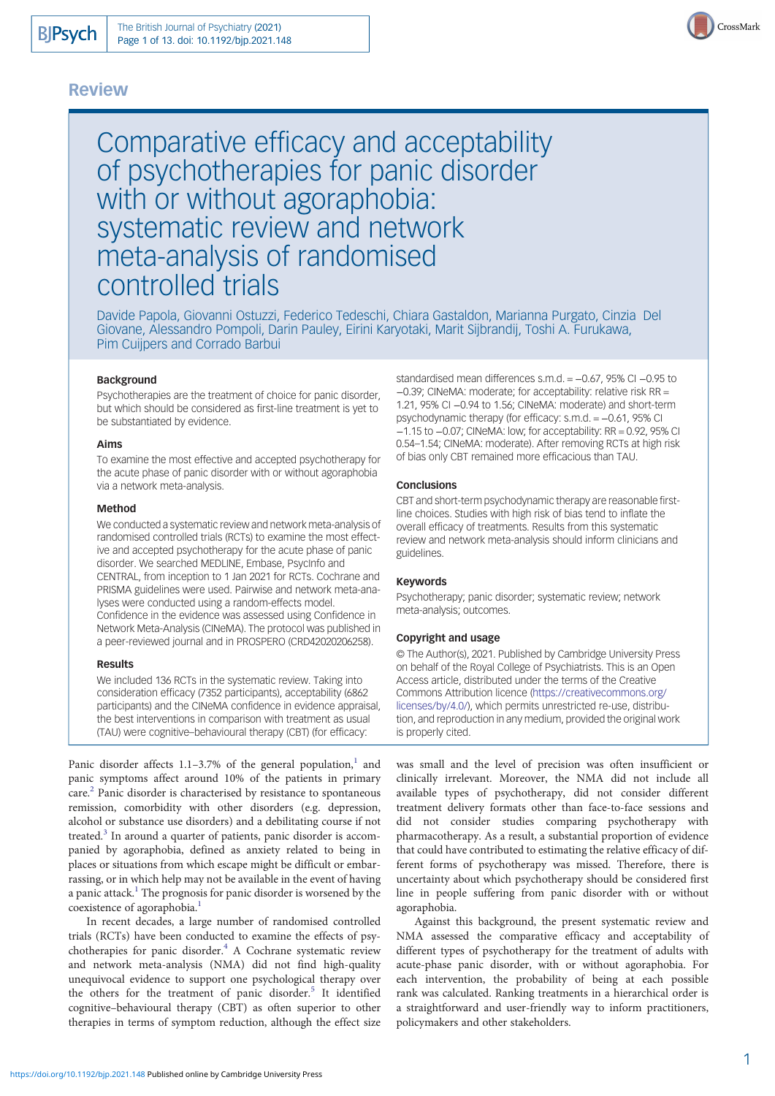# Review



Comparative efficacy and acceptability of psychotherapies for panic disorder with or without agoraphobia: systematic review and network meta-analysis of randomised controlled trials

Davide Papola, Giovanni Ostuzzi, Federico Tedeschi, Chiara Gastaldon, Marianna Purgato, Cinzia Del Giovane, Alessandro Pompoli, Darin Pauley, Eirini Karyotaki, Marit Sijbrandij, Toshi A. Furukawa, Pim Cuijpers and Corrado Barbui

### Background

Psychotherapies are the treatment of choice for panic disorder, but which should be considered as first-line treatment is yet to be substantiated by evidence.

#### Aims

To examine the most effective and accepted psychotherapy for the acute phase of panic disorder with or without agoraphobia via a network meta-analysis.

### Method

We conducted a systematic review and network meta-analysis of randomised controlled trials (RCTs) to examine the most effective and accepted psychotherapy for the acute phase of panic disorder. We searched MEDLINE, Embase, PsycInfo and CENTRAL, from inception to 1 Jan 2021 for RCTs. Cochrane and PRISMA guidelines were used. Pairwise and network meta-analyses were conducted using a random-effects model. Confidence in the evidence was assessed using Confidence in Network Meta-Analysis (CINeMA). The protocol was published in a peer-reviewed journal and in PROSPERO (CRD42020206258).

#### Results

We included 136 RCTs in the systematic review. Taking into consideration efficacy (7352 participants), acceptability (6862 participants) and the CINeMA confidence in evidence appraisal, the best interventions in comparison with treatment as usual (TAU) were cognitive–behavioural therapy (CBT) (for efficacy:

Panic disorder affects [1](#page-9-0).1-3.7% of the general population, $<sup>1</sup>$  and</sup> panic symptoms affect around 10% of the patients in primary care.[2](#page-9-0) Panic disorder is characterised by resistance to spontaneous remission, comorbidity with other disorders (e.g. depression, alcohol or substance use disorders) and a debilitating course if not treated.<sup>[3](#page-9-0)</sup> In around a quarter of patients, panic disorder is accompanied by agoraphobia, defined as anxiety related to being in places or situations from which escape might be difficult or embarrassing, or in which help may not be available in the event of having a panic attack.<sup>[1](#page-9-0)</sup> The prognosis for panic disorder is worsened by the coexistence of agoraphobia.<sup>[1](#page-9-0)</sup>

In recent decades, a large number of randomised controlled trials (RCTs) have been conducted to examine the effects of psy-chotherapies for panic disorder.<sup>[4](#page-9-0)</sup> A Cochrane systematic review and network meta-analysis (NMA) did not find high-quality unequivocal evidence to support one psychological therapy over the others for the treatment of panic disorder.<sup>[5](#page-9-0)</sup> It identified cognitive–behavioural therapy (CBT) as often superior to other therapies in terms of symptom reduction, although the effect size

standardised mean differences s.m.d. = −0.67, 95% CI −0.95 to −0.39; CINeMA: moderate; for acceptability: relative risk RR = 1.21, 95% CI −0.94 to 1.56; CINeMA: moderate) and short-term psychodynamic therapy (for efficacy: s.m.d. = −0.61, 95% CI −1.15 to −0.07; CINeMA: low; for acceptability: RR = 0.92, 95% CI 0.54–1.54; CINeMA: moderate). After removing RCTs at high risk of bias only CBT remained more efficacious than TAU.

### **Conclusions**

CBT and short-term psychodynamic therapy are reasonable firstline choices. Studies with high risk of bias tend to inflate the overall efficacy of treatments. Results from this systematic review and network meta-analysis should inform clinicians and guidelines.

#### Keywords

Psychotherapy; panic disorder; systematic review; network meta-analysis; outcomes.

#### Copyright and usage

© The Author(s), 2021. Published by Cambridge University Press on behalf of the Royal College of Psychiatrists. This is an Open Access article, distributed under the terms of the Creative Commons Attribution licence [\(https://creativecommons.org/](https://creativecommons.org/licenses/by/4.0/) [licenses/by/4.0/](https://creativecommons.org/licenses/by/4.0/)), which permits unrestricted re-use, distribution, and reproduction in any medium, provided the original work is properly cited.

was small and the level of precision was often insufficient or clinically irrelevant. Moreover, the NMA did not include all available types of psychotherapy, did not consider different treatment delivery formats other than face-to-face sessions and did not consider studies comparing psychotherapy with pharmacotherapy. As a result, a substantial proportion of evidence that could have contributed to estimating the relative efficacy of different forms of psychotherapy was missed. Therefore, there is uncertainty about which psychotherapy should be considered first line in people suffering from panic disorder with or without agoraphobia.

Against this background, the present systematic review and NMA assessed the comparative efficacy and acceptability of different types of psychotherapy for the treatment of adults with acute-phase panic disorder, with or without agoraphobia. For each intervention, the probability of being at each possible rank was calculated. Ranking treatments in a hierarchical order is a straightforward and user-friendly way to inform practitioners, policymakers and other stakeholders.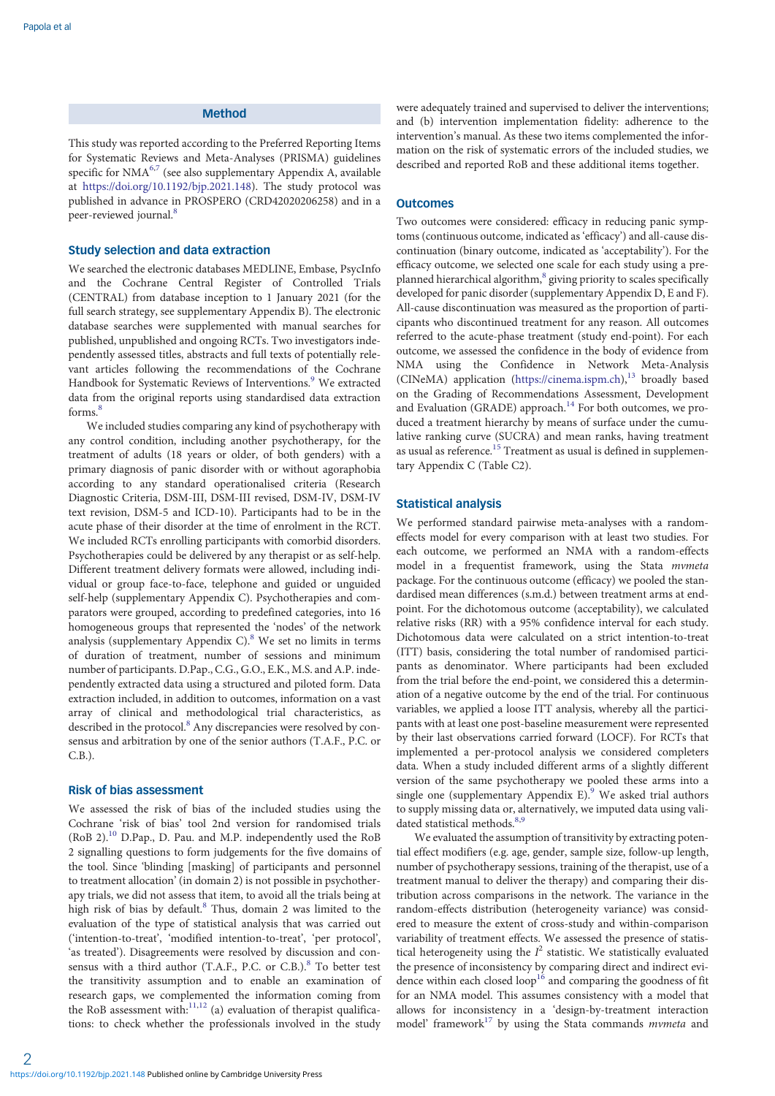# Method

This study was reported according to the Preferred Reporting Items for Systematic Reviews and Meta-Analyses (PRISMA) guidelines specific for NMA<sup>[6](#page-9-0),[7](#page-9-0)</sup> (see also supplementary Appendix A, available at <https://doi.org/10.1192/bjp.2021.148>). The study protocol was published in advance in PROSPERO (CRD42020206258) and in a peer-reviewed journal.<sup>[8](#page-9-0)</sup>

### Study selection and data extraction

We searched the electronic databases MEDLINE, Embase, PsycInfo and the Cochrane Central Register of Controlled Trials (CENTRAL) from database inception to 1 January 2021 (for the full search strategy, see supplementary Appendix B). The electronic database searches were supplemented with manual searches for published, unpublished and ongoing RCTs. Two investigators independently assessed titles, abstracts and full texts of potentially relevant articles following the recommendations of the Cochrane Handbook for Systematic Reviews of Interventions.<sup>[9](#page-9-0)</sup> We extracted data from the original reports using standardised data extraction forms<sup>[8](#page-9-0)</sup>

We included studies comparing any kind of psychotherapy with any control condition, including another psychotherapy, for the treatment of adults (18 years or older, of both genders) with a primary diagnosis of panic disorder with or without agoraphobia according to any standard operationalised criteria (Research Diagnostic Criteria, DSM-III, DSM-III revised, DSM-IV, DSM-IV text revision, DSM-5 and ICD-10). Participants had to be in the acute phase of their disorder at the time of enrolment in the RCT. We included RCTs enrolling participants with comorbid disorders. Psychotherapies could be delivered by any therapist or as self-help. Different treatment delivery formats were allowed, including individual or group face-to-face, telephone and guided or unguided self-help (supplementary Appendix C). Psychotherapies and comparators were grouped, according to predefined categories, into 16 homogeneous groups that represented the 'nodes' of the network analysis (supplementary Appendix C).<sup>8</sup> We set no limits in terms of duration of treatment, number of sessions and minimum number of participants. D.Pap., C.G., G.O., E.K., M.S. and A.P. independently extracted data using a structured and piloted form. Data extraction included, in addition to outcomes, information on a vast array of clinical and methodological trial characteristics, as described in the protocol.<sup>[8](#page-9-0)</sup> Any discrepancies were resolved by consensus and arbitration by one of the senior authors (T.A.F., P.C. or C.B.).

# Risk of bias assessment

We assessed the risk of bias of the included studies using the Cochrane 'risk of bias' tool 2nd version for randomised trials (RoB 2).<sup>10</sup> D.Pap., D. Pau. and M.P. independently used the RoB 2 signalling questions to form judgements for the five domains of the tool. Since 'blinding [masking] of participants and personnel to treatment allocation' (in domain 2) is not possible in psychotherapy trials, we did not assess that item, to avoid all the trials being at high risk of bias by default.<sup>[8](#page-9-0)</sup> Thus, domain 2 was limited to the evaluation of the type of statistical analysis that was carried out ('intention-to-treat', 'modified intention-to-treat', 'per protocol', 'as treated'). Disagreements were resolved by discussion and consensus with a third author (T.A.F., P.C. or C.B.). $8$  To better test the transitivity assumption and to enable an examination of research gaps, we complemented the information coming from the RoB assessment with: $11,12$  $11,12$  $11,12$  (a) evaluation of therapist qualifications: to check whether the professionals involved in the study

were adequately trained and supervised to deliver the interventions; and (b) intervention implementation fidelity: adherence to the intervention's manual. As these two items complemented the information on the risk of systematic errors of the included studies, we described and reported RoB and these additional items together.

#### **Outcomes**

Two outcomes were considered: efficacy in reducing panic symptoms (continuous outcome, indicated as 'efficacy') and all-cause discontinuation (binary outcome, indicated as 'acceptability'). For the efficacy outcome, we selected one scale for each study using a pre-planned hierarchical algorithm,<sup>[8](#page-9-0)</sup> giving priority to scales specifically developed for panic disorder (supplementary Appendix D, E and F). All-cause discontinuation was measured as the proportion of participants who discontinued treatment for any reason. All outcomes referred to the acute-phase treatment (study end-point). For each outcome, we assessed the confidence in the body of evidence from NMA using the Confidence in Network Meta-Analysis (CINeMA) application ([https://cinema.ispm.ch\)](https://cinema.ispm.ch), $^{13}$  $^{13}$  $^{13}$  broadly based on the Grading of Recommendations Assessment, Development and Evaluation (GRADE) approach.<sup>[14](#page-9-0)</sup> For both outcomes, we produced a treatment hierarchy by means of surface under the cumulative ranking curve (SUCRA) and mean ranks, having treatment as usual as reference.<sup>[15](#page-9-0)</sup> Treatment as usual is defined in supplementary Appendix C (Table C2).

### Statistical analysis

We performed standard pairwise meta-analyses with a randomeffects model for every comparison with at least two studies. For each outcome, we performed an NMA with a random-effects model in a frequentist framework, using the Stata mvmeta package. For the continuous outcome (efficacy) we pooled the standardised mean differences (s.m.d.) between treatment arms at endpoint. For the dichotomous outcome (acceptability), we calculated relative risks (RR) with a 95% confidence interval for each study. Dichotomous data were calculated on a strict intention-to-treat (ITT) basis, considering the total number of randomised participants as denominator. Where participants had been excluded from the trial before the end-point, we considered this a determination of a negative outcome by the end of the trial. For continuous variables, we applied a loose ITT analysis, whereby all the participants with at least one post-baseline measurement were represented by their last observations carried forward (LOCF). For RCTs that implemented a per-protocol analysis we considered completers data. When a study included different arms of a slightly different version of the same psychotherapy we pooled these arms into a single one (supplementary Appendix E).<sup>[9](#page-9-0)</sup> We asked trial authors to supply missing data or, alternatively, we imputed data using vali-dated statistical methods.<sup>[8,9](#page-9-0)</sup>

We evaluated the assumption of transitivity by extracting potential effect modifiers (e.g. age, gender, sample size, follow-up length, number of psychotherapy sessions, training of the therapist, use of a treatment manual to deliver the therapy) and comparing their distribution across comparisons in the network. The variance in the random-effects distribution (heterogeneity variance) was considered to measure the extent of cross-study and within-comparison variability of treatment effects. We assessed the presence of statistical heterogeneity using the  $I^2$  statistic. We statistically evaluated the presence of inconsistency by comparing direct and indirect evidence within each closed loop<sup>16</sup> and comparing the goodness of fit for an NMA model. This assumes consistency with a model that allows for inconsistency in a 'design-by-treatment interaction model' framework $17$  by using the Stata commands *mvmeta* and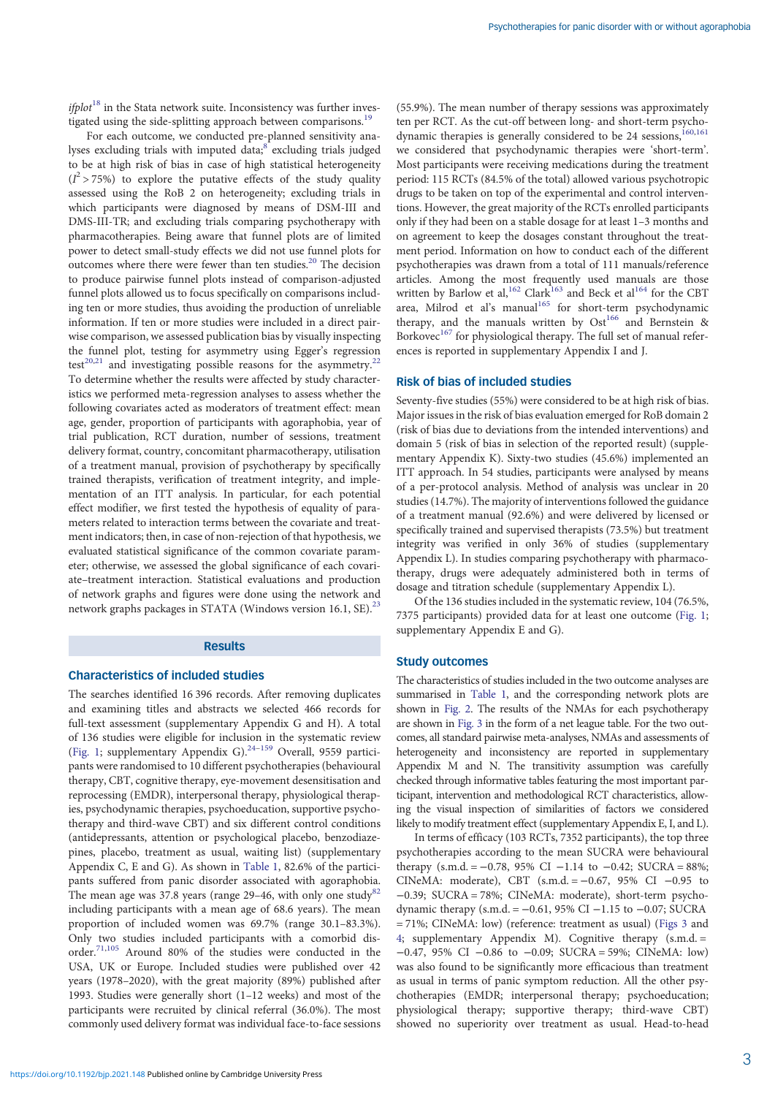$ifplot<sup>18</sup>$  $ifplot<sup>18</sup>$  $ifplot<sup>18</sup>$  in the Stata network suite. Inconsistency was further inves-tigated using the side-splitting approach between comparisons.<sup>[19](#page-9-0)</sup>

For each outcome, we conducted pre-planned sensitivity ana-lyses excluding trials with imputed data;<sup>[8](#page-9-0)</sup> excluding trials judged to be at high risk of bias in case of high statistical heterogeneity  $(I^2 > 75\%)$  to explore the putative effects of the study quality assessed using the RoB 2 on heterogeneity; excluding trials in which participants were diagnosed by means of DSM-III and DMS-III-TR; and excluding trials comparing psychotherapy with pharmacotherapies. Being aware that funnel plots are of limited power to detect small-study effects we did not use funnel plots for outcomes where there were fewer than ten studies.[20](#page-9-0) The decision to produce pairwise funnel plots instead of comparison-adjusted funnel plots allowed us to focus specifically on comparisons including ten or more studies, thus avoiding the production of unreliable information. If ten or more studies were included in a direct pairwise comparison, we assessed publication bias by visually inspecting the funnel plot, testing for asymmetry using Egger's regression test<sup>[20](#page-9-0),[21](#page-9-0)</sup> and investigating possible reasons for the asymmetry.<sup>[22](#page-9-0)</sup> To determine whether the results were affected by study characteristics we performed meta-regression analyses to assess whether the following covariates acted as moderators of treatment effect: mean age, gender, proportion of participants with agoraphobia, year of trial publication, RCT duration, number of sessions, treatment delivery format, country, concomitant pharmacotherapy, utilisation of a treatment manual, provision of psychotherapy by specifically trained therapists, verification of treatment integrity, and implementation of an ITT analysis. In particular, for each potential effect modifier, we first tested the hypothesis of equality of parameters related to interaction terms between the covariate and treatment indicators; then, in case of non-rejection of that hypothesis, we evaluated statistical significance of the common covariate parameter; otherwise, we assessed the global significance of each covariate–treatment interaction. Statistical evaluations and production of network graphs and figures were done using the network and network graphs packages in STATA (Windows version 16.1, SE).<sup>[23](#page-9-0)</sup>

#### Results

### Characteristics of included studies

The searches identified 16 396 records. After removing duplicates and examining titles and abstracts we selected 466 records for full-text assessment (supplementary Appendix G and H). A total of 136 studies were eligible for inclusion in the systematic review ([Fig. 1;](#page-3-0) supplementary Appendix G). $^{24-159}$  $^{24-159}$  $^{24-159}$  $^{24-159}$  $^{24-159}$  Overall, 9559 participants were randomised to 10 different psychotherapies (behavioural therapy, CBT, cognitive therapy, eye-movement desensitisation and reprocessing (EMDR), interpersonal therapy, physiological therapies, psychodynamic therapies, psychoeducation, supportive psychotherapy and third-wave CBT) and six different control conditions (antidepressants, attention or psychological placebo, benzodiazepines, placebo, treatment as usual, waiting list) (supplementary Appendix C, E and G). As shown in [Table 1,](#page-4-0) 82.6% of the participants suffered from panic disorder associated with agoraphobia. The mean age was 37.8 years (range  $29-46$ , with only one study<sup>[82](#page-10-0)</sup>) including participants with a mean age of 68.6 years). The mean proportion of included women was 69.7% (range 30.1–83.3%). Only two studies included participants with a comorbid disorder.[71](#page-10-0),[105](#page-11-0) Around 80% of the studies were conducted in the USA, UK or Europe. Included studies were published over 42 years (1978–2020), with the great majority (89%) published after 1993. Studies were generally short (1–12 weeks) and most of the participants were recruited by clinical referral (36.0%). The most commonly used delivery format was individual face-to-face sessions

(55.9%). The mean number of therapy sessions was approximately ten per RCT. As the cut-off between long- and short-term psycho-dynamic therapies is generally considered to be 24 sessions,<sup>[160](#page-12-0),[161](#page-12-0)</sup> we considered that psychodynamic therapies were 'short-term'. Most participants were receiving medications during the treatment period: 115 RCTs (84.5% of the total) allowed various psychotropic drugs to be taken on top of the experimental and control interventions. However, the great majority of the RCTs enrolled participants only if they had been on a stable dosage for at least 1–3 months and on agreement to keep the dosages constant throughout the treatment period. Information on how to conduct each of the different psychotherapies was drawn from a total of 111 manuals/reference articles. Among the most frequently used manuals are those written by Barlow et al,<sup>[162](#page-12-0)</sup> Clark<sup>[163](#page-12-0)</sup> and Beck et al<sup>[164](#page-12-0)</sup> for the CBT area, Milrod et al's manual<sup>[165](#page-12-0)</sup> for short-term psychodynamic therapy, and the manuals written by  $Ost^{166}$  $Ost^{166}$  $Ost^{166}$  and Bernstein & Borkovec<sup>[167](#page-12-0)</sup> for physiological therapy. The full set of manual references is reported in supplementary Appendix I and J.

### Risk of bias of included studies

Seventy-five studies (55%) were considered to be at high risk of bias. Major issues in the risk of bias evaluation emerged for RoB domain 2 (risk of bias due to deviations from the intended interventions) and domain 5 (risk of bias in selection of the reported result) (supplementary Appendix K). Sixty-two studies (45.6%) implemented an ITT approach. In 54 studies, participants were analysed by means of a per-protocol analysis. Method of analysis was unclear in 20 studies (14.7%). The majority of interventions followed the guidance of a treatment manual (92.6%) and were delivered by licensed or specifically trained and supervised therapists (73.5%) but treatment integrity was verified in only 36% of studies (supplementary Appendix L). In studies comparing psychotherapy with pharmacotherapy, drugs were adequately administered both in terms of dosage and titration schedule (supplementary Appendix L).

Of the 136 studies included in the systematic review, 104 (76.5%, 7375 participants) provided data for at least one outcome [\(Fig. 1;](#page-3-0) supplementary Appendix E and G).

# Study outcomes

The characteristics of studies included in the two outcome analyses are summarised in [Table 1](#page-4-0), and the corresponding network plots are shown in [Fig. 2](#page-5-0). The results of the NMAs for each psychotherapy are shown in [Fig. 3](#page-6-0) in the form of a net league table. For the two outcomes, all standard pairwise meta-analyses, NMAs and assessments of heterogeneity and inconsistency are reported in supplementary Appendix M and N. The transitivity assumption was carefully checked through informative tables featuring the most important participant, intervention and methodological RCT characteristics, allowing the visual inspection of similarities of factors we considered likely to modify treatment effect (supplementary Appendix E, I, and L).

In terms of efficacy (103 RCTs, 7352 participants), the top three psychotherapies according to the mean SUCRA were behavioural therapy (s.m.d. =  $-0.78$ , 95% CI  $-1.14$  to  $-0.42$ ; SUCRA = 88%; CINeMA: moderate), CBT  $(s.m.d. = -0.67, 95\% \text{ CI } -0.95 \text{ to }$ −0.39; SUCRA = 78%; CINeMA: moderate), short-term psychodynamic therapy (s.m.d. =  $-0.61$ , 95% CI  $-1.15$  to  $-0.07$ ; SUCRA = 71%; CINeMA: low) (reference: treatment as usual) [\(Figs 3](#page-6-0) and [4;](#page-6-0) supplementary Appendix M). Cognitive therapy (s.m.d. = −0.47, 95% CI −0.86 to −0.09; SUCRA = 59%; CINeMA: low) was also found to be significantly more efficacious than treatment as usual in terms of panic symptom reduction. All the other psychotherapies (EMDR; interpersonal therapy; psychoeducation; physiological therapy; supportive therapy; third-wave CBT) showed no superiority over treatment as usual. Head-to-head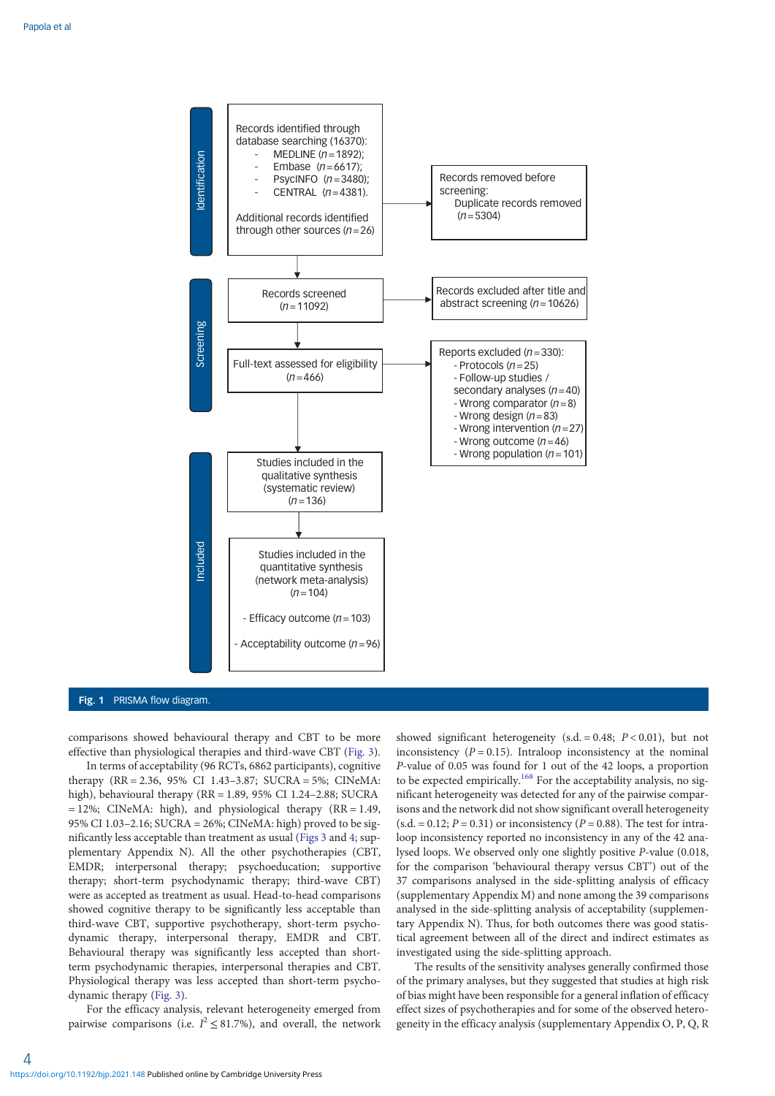<span id="page-3-0"></span>

#### Fig. 1 PRISMA flow diagram.

comparisons showed behavioural therapy and CBT to be more effective than physiological therapies and third-wave CBT [\(Fig. 3](#page-6-0)).

In terms of acceptability (96 RCTs, 6862 participants), cognitive therapy (RR = 2.36, 95% CI 1.43–3.87; SUCRA = 5%; CINeMA: high), behavioural therapy (RR = 1.89, 95% CI 1.24–2.88; SUCRA  $= 12\%$ ; CINeMA: high), and physiological therapy (RR = 1.49, 95% CI 1.03–2.16; SUCRA = 26%; CINeMA: high) proved to be significantly less acceptable than treatment as usual [\(Figs 3](#page-6-0) and [4;](#page-6-0) supplementary Appendix N). All the other psychotherapies (CBT, EMDR; interpersonal therapy; psychoeducation; supportive therapy; short-term psychodynamic therapy; third-wave CBT) were as accepted as treatment as usual. Head-to-head comparisons showed cognitive therapy to be significantly less acceptable than third-wave CBT, supportive psychotherapy, short-term psychodynamic therapy, interpersonal therapy, EMDR and CBT. Behavioural therapy was significantly less accepted than shortterm psychodynamic therapies, interpersonal therapies and CBT. Physiological therapy was less accepted than short-term psychodynamic therapy ([Fig. 3\)](#page-6-0).

For the efficacy analysis, relevant heterogeneity emerged from pairwise comparisons (i.e.  $I^2 \leq 81.7\%$ ), and overall, the network

showed significant heterogeneity (s.d. = 0.48;  $P < 0.01$ ), but not inconsistency ( $P = 0.15$ ). Intraloop inconsistency at the nominal P-value of 0.05 was found for 1 out of the 42 loops, a proportion to be expected empirically.<sup>[168](#page-12-0)</sup> For the acceptability analysis, no significant heterogeneity was detected for any of the pairwise comparisons and the network did not show significant overall heterogeneity  $(s.d. = 0.12; P = 0.31)$  or inconsistency  $(P = 0.88)$ . The test for intraloop inconsistency reported no inconsistency in any of the 42 analysed loops. We observed only one slightly positive P-value (0.018, for the comparison 'behavioural therapy versus CBT') out of the 37 comparisons analysed in the side-splitting analysis of efficacy (supplementary Appendix M) and none among the 39 comparisons analysed in the side-splitting analysis of acceptability (supplementary Appendix N). Thus, for both outcomes there was good statistical agreement between all of the direct and indirect estimates as investigated using the side-splitting approach.

The results of the sensitivity analyses generally confirmed those of the primary analyses, but they suggested that studies at high risk of bias might have been responsible for a general inflation of efficacy effect sizes of psychotherapies and for some of the observed heterogeneity in the efficacy analysis (supplementary Appendix O, P, Q, R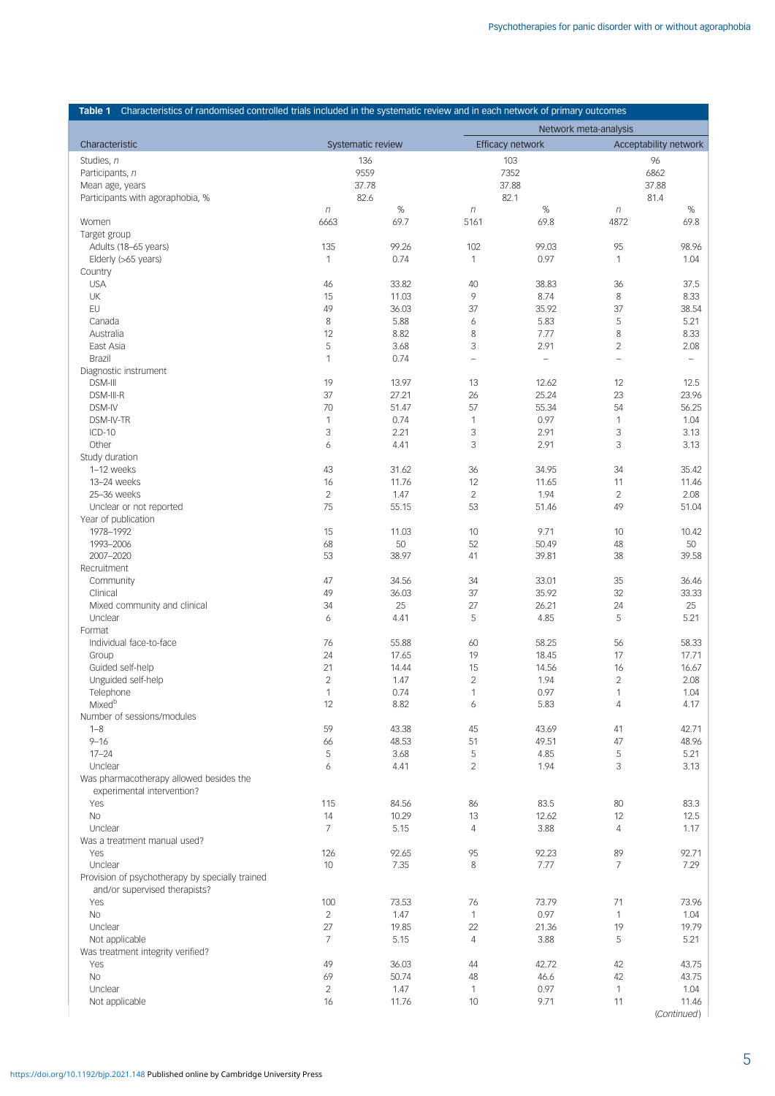<span id="page-4-0"></span>

|                                                 |                          |               | Table 1 Characteristics of randomised controlled trials included in the systematic review and in each network of primary outcomes |                   |                          |                   |  |  |  |
|-------------------------------------------------|--------------------------|---------------|-----------------------------------------------------------------------------------------------------------------------------------|-------------------|--------------------------|-------------------|--|--|--|
| Characteristic                                  |                          |               | Network meta-analysis<br>Efficacy network<br>Acceptability network                                                                |                   |                          |                   |  |  |  |
| Studies, n                                      | Systematic review<br>136 |               |                                                                                                                                   | 103               | 96                       |                   |  |  |  |
| Participants, n                                 |                          | 9559          |                                                                                                                                   | 7352              |                          | 6862              |  |  |  |
| Mean age, years                                 | 37.78                    |               | 37.88                                                                                                                             |                   | 37.88                    |                   |  |  |  |
| Participants with agoraphobia, %                | 82.6                     |               |                                                                                                                                   | 82.1              | 81.4                     |                   |  |  |  |
|                                                 | $\eta$                   | %             | $\eta$                                                                                                                            | %                 | $\eta$                   | %                 |  |  |  |
| Women                                           | 6663                     | 69.7          | 5161                                                                                                                              | 69.8              | 4872                     | 69.8              |  |  |  |
| Target group                                    |                          |               |                                                                                                                                   |                   |                          |                   |  |  |  |
| Adults (18-65 years)                            | 135                      | 99.26         | 102                                                                                                                               | 99.03             | 95                       | 98.96             |  |  |  |
| Elderly (>65 years)                             | 1                        | 0.74          | $\mathbf{1}$                                                                                                                      | 0.97              | 1                        | 1.04              |  |  |  |
| Country<br><b>USA</b>                           | 46                       | 33.82         | 40                                                                                                                                | 38.83             | 36                       | 37.5              |  |  |  |
| UK                                              | 15                       | 11.03         | 9                                                                                                                                 | 8.74              | $\,8\,$                  | 8.33              |  |  |  |
| EU                                              | 49                       | 36.03         | 37                                                                                                                                | 35.92             | 37                       | 38.54             |  |  |  |
| Canada                                          | 8                        | 5.88          | 6                                                                                                                                 | 5.83              | 5                        | 5.21              |  |  |  |
| Australia                                       | 12                       | 8.82          | $\,8\,$                                                                                                                           | 7.77              | 8                        | 8.33              |  |  |  |
| East Asia                                       | 5                        | 3.68          | 3                                                                                                                                 | 2.91              | $\overline{c}$           | 2.08              |  |  |  |
| <b>Brazil</b>                                   | $\mathbf{1}$             | 0.74          | $\equiv$                                                                                                                          | $\qquad \qquad -$ | $\overline{\phantom{m}}$ | $\qquad \qquad -$ |  |  |  |
| Diagnostic instrument                           |                          |               |                                                                                                                                   |                   |                          |                   |  |  |  |
| <b>DSM-III</b>                                  | 19                       | 13.97         | 13                                                                                                                                | 12.62             | 12                       | 12.5              |  |  |  |
| DSM-III-R                                       | 37                       | 27.21         | 26                                                                                                                                | 25.24             | 23                       | 23.96             |  |  |  |
| DSM-IV<br>DSM-IV-TR                             | 70<br>$\mathbf{1}$       | 51.47<br>0.74 | 57<br>$\mathbf{1}$                                                                                                                | 55.34<br>0.97     | 54<br>$\mathbf{1}$       | 56.25<br>1.04     |  |  |  |
| ICD-10                                          | 3                        | 2.21          | 3                                                                                                                                 | 2.91              | 3                        | 3.13              |  |  |  |
| Other                                           | 6                        | 4.41          | 3                                                                                                                                 | 2.91              | 3                        | 3.13              |  |  |  |
| Study duration                                  |                          |               |                                                                                                                                   |                   |                          |                   |  |  |  |
| 1-12 weeks                                      | 43                       | 31.62         | 36                                                                                                                                | 34.95             | 34                       | 35.42             |  |  |  |
| 13-24 weeks                                     | 16                       | 11.76         | 12                                                                                                                                | 11.65             | 11                       | 11.46             |  |  |  |
| 25-36 weeks                                     | $\overline{c}$           | 1.47          | $\mathbf{2}$                                                                                                                      | 1.94              | $\overline{c}$           | 2.08              |  |  |  |
| Unclear or not reported                         | 75                       | 55.15         | 53                                                                                                                                | 51.46             | 49                       | 51.04             |  |  |  |
| Year of publication                             |                          |               |                                                                                                                                   |                   |                          |                   |  |  |  |
| 1978-1992                                       | 15                       | 11.03         | 10                                                                                                                                | 9.71              | 10                       | 10.42             |  |  |  |
| 1993-2006                                       | 68                       | 50            | 52                                                                                                                                | 50.49             | 48                       | 50                |  |  |  |
| 2007-2020                                       | 53                       | 38.97         | 41                                                                                                                                | 39.81             | 38                       | 39.58             |  |  |  |
| Recruitment<br>Community                        | 47                       | 34.56         | 34                                                                                                                                | 33.01             | 35                       | 36.46             |  |  |  |
| Clinical                                        | 49                       | 36.03         | 37                                                                                                                                | 35.92             | 32                       | 33.33             |  |  |  |
| Mixed community and clinical                    | 34                       | 25            | 27                                                                                                                                | 26.21             | 24                       | 25                |  |  |  |
| Unclear                                         | 6                        | 4.41          | 5                                                                                                                                 | 4.85              | 5                        | 5.21              |  |  |  |
| Format                                          |                          |               |                                                                                                                                   |                   |                          |                   |  |  |  |
| Individual face-to-face                         | 76                       | 55.88         | 60                                                                                                                                | 58.25             | 56                       | 58.33             |  |  |  |
| Group                                           | 24                       | 17.65         | 19                                                                                                                                | 18.45             | 17                       | 17.71             |  |  |  |
| Guided self-help                                | 21                       | 14.44         | 15                                                                                                                                | 14.56             | 16                       | 16.67             |  |  |  |
| Unguided self-help                              | $\overline{c}$           | 1.47          | $\mathbf{2}$                                                                                                                      | 1.94              | $\mathbf{2}$             | 2.08              |  |  |  |
| Telephone<br>Mixedb                             | $\mathbf{1}$<br>12       | 0.74          | $\mathbf{1}$                                                                                                                      | 0.97              | $\mathbf{1}$             | 1.04<br>4.17      |  |  |  |
| Number of sessions/modules                      |                          | 8.82          | 6                                                                                                                                 | 5.83              | $\sqrt{4}$               |                   |  |  |  |
| $1 - 8$                                         | 59                       | 43.38         | 45                                                                                                                                | 43.69             | 41                       | 42.71             |  |  |  |
| $9 - 16$                                        | 66                       | 48.53         | 51                                                                                                                                | 49.51             | 47                       | 48.96             |  |  |  |
| $17 - 24$                                       | 5                        | 3.68          | 5                                                                                                                                 | 4.85              | 5                        | 5.21              |  |  |  |
| Unclear                                         | 6                        | 4.41          | $\overline{2}$                                                                                                                    | 1.94              | 3                        | 3.13              |  |  |  |
| Was pharmacotherapy allowed besides the         |                          |               |                                                                                                                                   |                   |                          |                   |  |  |  |
| experimental intervention?                      |                          |               |                                                                                                                                   |                   |                          |                   |  |  |  |
| Yes                                             | 115                      | 84.56         | 86                                                                                                                                | 83.5              | 80                       | 83.3              |  |  |  |
| <b>No</b>                                       | 14                       | 10.29         | 13                                                                                                                                | 12.62             | 12                       | 12.5              |  |  |  |
| Unclear                                         | 7                        | 5.15          | $\overline{4}$                                                                                                                    | 3.88              | 4                        | 1.17              |  |  |  |
| Was a treatment manual used?                    | 126                      |               |                                                                                                                                   | 92.23             | 89                       | 92.71             |  |  |  |
| Yes<br>Unclear                                  | 10                       | 92.65<br>7.35 | 95<br>8                                                                                                                           | 7.77              | $\overline{7}$           | 7.29              |  |  |  |
| Provision of psychotherapy by specially trained |                          |               |                                                                                                                                   |                   |                          |                   |  |  |  |
| and/or supervised therapists?                   |                          |               |                                                                                                                                   |                   |                          |                   |  |  |  |
| Yes                                             | 100                      | 73.53         | 76                                                                                                                                | 73.79             | 71                       | 73.96             |  |  |  |
| <b>No</b>                                       | $\overline{2}$           | 1.47          | $\mathbf{1}$                                                                                                                      | 0.97              | $\mathbf{1}$             | 1.04              |  |  |  |
| Unclear                                         | 27                       | 19.85         | 22                                                                                                                                | 21.36             | 19                       | 19.79             |  |  |  |
| Not applicable                                  | $\overline{7}$           | 5.15          | $\overline{4}$                                                                                                                    | 3.88              | 5                        | 5.21              |  |  |  |
| Was treatment integrity verified?               |                          |               |                                                                                                                                   |                   |                          |                   |  |  |  |
| Yes                                             | 49                       | 36.03         | 44                                                                                                                                | 42.72             | 42                       | 43.75             |  |  |  |
| <b>No</b>                                       | 69                       | 50.74         | 48                                                                                                                                | 46.6              | 42                       | 43.75             |  |  |  |
| Unclear<br>Not applicable                       | $\overline{c}$<br>16     | 1.47<br>11.76 | $\mathbf{1}$<br>10                                                                                                                | 0.97<br>9.71      | $\mathbf{1}$<br>11       | 1.04<br>11.46     |  |  |  |
|                                                 |                          |               |                                                                                                                                   |                   |                          | (Continued)       |  |  |  |
|                                                 |                          |               |                                                                                                                                   |                   |                          |                   |  |  |  |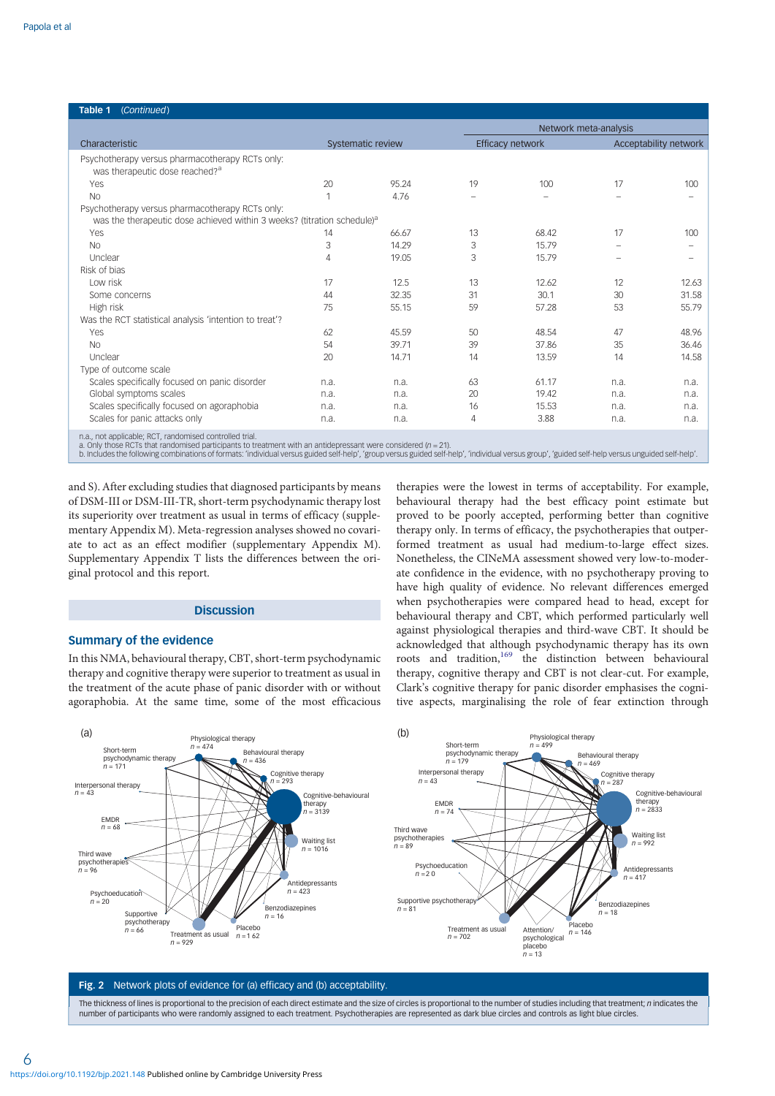<span id="page-5-0"></span>

| (Continued)<br>Table 1                                                                        |                   |       |    |                         |                       |       |  |  |  |  |  |
|-----------------------------------------------------------------------------------------------|-------------------|-------|----|-------------------------|-----------------------|-------|--|--|--|--|--|
|                                                                                               |                   |       |    | Network meta-analysis   |                       |       |  |  |  |  |  |
| Characteristic                                                                                | Systematic review |       |    | <b>Efficacy network</b> | Acceptability network |       |  |  |  |  |  |
| Psychotherapy versus pharmacotherapy RCTs only:<br>was therapeutic dose reached? <sup>a</sup> |                   |       |    |                         |                       |       |  |  |  |  |  |
| Yes                                                                                           | 20                | 95.24 | 19 | 100                     | 17                    | 100   |  |  |  |  |  |
| <b>No</b>                                                                                     | 1                 | 4.76  |    |                         |                       |       |  |  |  |  |  |
| Psychotherapy versus pharmacotherapy RCTs only:                                               |                   |       |    |                         |                       |       |  |  |  |  |  |
| was the therapeutic dose achieved within 3 weeks? (titration schedule) <sup>a</sup>           |                   |       |    |                         |                       |       |  |  |  |  |  |
| Yes                                                                                           | 14                | 66.67 | 13 | 68.42                   | 17                    | 100   |  |  |  |  |  |
| <b>No</b>                                                                                     | 3                 | 14.29 | 3  | 15.79                   |                       |       |  |  |  |  |  |
| Unclear                                                                                       | 4                 | 19.05 | 3  | 15.79                   |                       |       |  |  |  |  |  |
| Risk of bias                                                                                  |                   |       |    |                         |                       |       |  |  |  |  |  |
| Low risk                                                                                      | 17                | 12.5  | 13 | 12.62                   | 12                    | 12.63 |  |  |  |  |  |
| Some concerns                                                                                 | 44                | 32.35 | 31 | 30.1                    | 30                    | 31.58 |  |  |  |  |  |
| High risk                                                                                     | 75                | 55.15 | 59 | 57.28                   | 53                    | 55.79 |  |  |  |  |  |
| Was the RCT statistical analysis 'intention to treat'?                                        |                   |       |    |                         |                       |       |  |  |  |  |  |
| Yes                                                                                           | 62                | 45.59 | 50 | 48.54                   | 47                    | 48.96 |  |  |  |  |  |
| <b>No</b>                                                                                     | 54                | 39.71 | 39 | 37.86                   | 35                    | 36.46 |  |  |  |  |  |
| Unclear                                                                                       | 20                | 14.71 | 14 | 13.59                   | 14                    | 14.58 |  |  |  |  |  |
| Type of outcome scale                                                                         |                   |       |    |                         |                       |       |  |  |  |  |  |
| Scales specifically focused on panic disorder                                                 | n.a.              | n.a.  | 63 | 61.17                   | n.a.                  | n.a.  |  |  |  |  |  |
| Global symptoms scales                                                                        | n.a.              | n.a.  | 20 | 19.42                   | n.a.                  | n.a.  |  |  |  |  |  |
| Scales specifically focused on agoraphobia                                                    | n.a.              | n.a.  | 16 | 15.53                   | n.a.                  | n.a.  |  |  |  |  |  |
| Scales for panic attacks only                                                                 | n.a.              | n.a.  | 4  | 3.88                    | n.a.                  | n.a.  |  |  |  |  |  |
| n.a., not applicable; RCT, randomised controlled trial.                                       |                   |       |    |                         |                       |       |  |  |  |  |  |

a. Only those RCTs that randomised participants to treatment with an antidepressant were considered (n = 21).<br>b. Includes the following combinations of formats: 'individual versus guided self-help', 'group versus grided de

and S). After excluding studies that diagnosed participants by means of DSM-III or DSM-III-TR, short-term psychodynamic therapy lost its superiority over treatment as usual in terms of efficacy (supplementary Appendix M). Meta-regression analyses showed no covariate to act as an effect modifier (supplementary Appendix M). Supplementary Appendix T lists the differences between the original protocol and this report.

### **Discussion**

### Summary of the evidence

In this NMA, behavioural therapy, CBT, short-term psychodynamic therapy and cognitive therapy were superior to treatment as usual in the treatment of the acute phase of panic disorder with or without agoraphobia. At the same time, some of the most efficacious

therapies were the lowest in terms of acceptability. For example, behavioural therapy had the best efficacy point estimate but proved to be poorly accepted, performing better than cognitive therapy only. In terms of efficacy, the psychotherapies that outperformed treatment as usual had medium-to-large effect sizes. Nonetheless, the CINeMA assessment showed very low-to-moderate confidence in the evidence, with no psychotherapy proving to have high quality of evidence. No relevant differences emerged when psychotherapies were compared head to head, except for behavioural therapy and CBT, which performed particularly well against physiological therapies and third-wave CBT. It should be acknowledged that although psychodynamic therapy has its own roots and tradition,<sup>169</sup> the distinction between behavioural therapy, cognitive therapy and CBT is not clear-cut. For example, Clark's cognitive therapy for panic disorder emphasises the cognitive aspects, marginalising the role of fear extinction through



#### Fig. 2 Network plots of evidence for (a) efficacy and (b) acceptability.

The thickness of lines is proportional to the precision of each direct estimate and the size of circles is proportional to the number of studies including that treatment; n indicates the number of participants who were randomly assigned to each treatment. Psychotherapies are represented as dark blue circles and controls as light blue circles.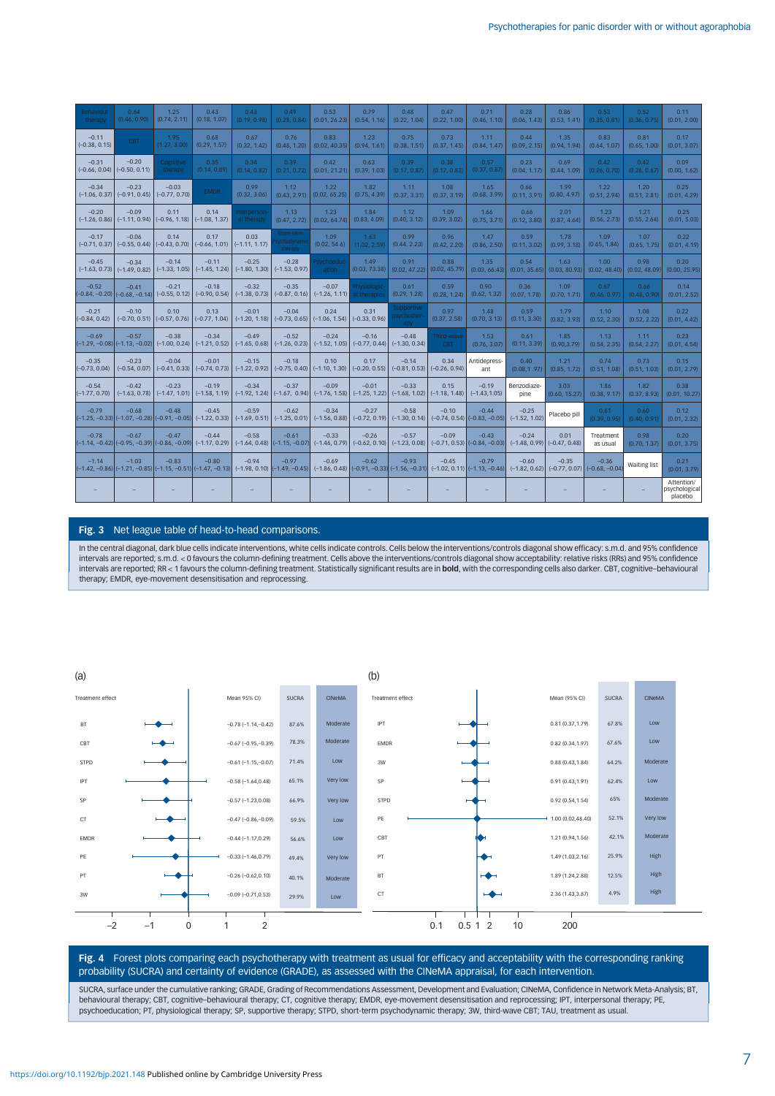<span id="page-6-0"></span>

| Behaviour<br>therapy                                         | 0.64<br>(0.46, 0.90)                                                          | 1.25<br>(0.74, 2.11)                       | 0.43<br>(0.18, 1.07)                                                                                                                                                                               | 0.43<br>(0.19, 0.98)       | 0.49<br>(0.28, 0.84)                                       | 0.53<br>(0.01, 26.23)      | 0.79<br>(0.54, 1.16)        | 0.48<br>(0.22, 1.04)                       | 0.47<br>(0.22, 1.00)                                    | 0.71<br>(0.46, 1.10)                        | 0.28<br>(0.06, 1.43)       | 0.86<br>(0.53, 1.41)                    | 0.53<br>(0.35, 0.81)                        | 0.52<br>(0.36, 0.75)  | 0.11<br>(0.01, 2.00)                   |
|--------------------------------------------------------------|-------------------------------------------------------------------------------|--------------------------------------------|----------------------------------------------------------------------------------------------------------------------------------------------------------------------------------------------------|----------------------------|------------------------------------------------------------|----------------------------|-----------------------------|--------------------------------------------|---------------------------------------------------------|---------------------------------------------|----------------------------|-----------------------------------------|---------------------------------------------|-----------------------|----------------------------------------|
| $-0.11$<br>$(-0.38, 0.15)$                                   | <b>CBT</b>                                                                    | 1.95<br>(1.27, 3.00)                       | 0.68<br>(0.29, 1.57)                                                                                                                                                                               | 0.67<br>(0.32, 1.42)       | 0.76<br>(0.48, 1.20)                                       | 0.83<br>(0.02, 40.35)      | 1.23<br>(0.94, 1.61)        | 0.75<br>(0.38, 1.51)                       | 0.73<br>(0.37, 1.45)                                    | 1.11<br>(0.84, 1.47)                        | 0.44<br>(0.09, 2.15)       | 1.35<br>(0.94, 1.94)                    | 0.83<br>(0.64, 1.07)                        | 0.81<br>(0.65, 1.00)  | 0.17<br>(0.01, 3.07)                   |
| $-0.31$<br>$(-0.66, 0.04)$                                   | $-0.20$<br>$(-0.50, 0.11)$                                                    | Cognitive<br>therapy                       | 0.35<br>(0.14, 0.89)                                                                                                                                                                               | 0.34<br>(0.14, 0.82)       | 0.39<br>(0.21, 0.72)                                       | 0.42<br>(0.01, 21.21)      | 0.63<br>(0.39, 1.03)        | 0.39<br>(0.17, 0.87)                       | 0.38<br>(0.17, 0.82)                                    | 0.57<br>(0.37, 0.87)                        | 0.23<br>(0.04, 1.17)       | 0.69<br>(0.44, 1.09)                    | 0.42<br>(0.26, 0.70)                        | 0.42<br>(0.26, 0.67)  | 0.09<br>(0.00, 1.62)                   |
| $-0.34$<br>$(-1.06, 0.37)$                                   | $-0.23$                                                                       | $-0.03$<br>$(-0.91, 0.45)$ $(-0.77, 0.70)$ | <b>EMDR</b>                                                                                                                                                                                        | 0.99<br>(0.32, 3.06)       | 1.12<br>(0.43, 2.91)                                       | 1.22<br>(0.02, 65.25)      | 1.82<br>(0.75, 4.39)        | 1.11<br>(0.37, 3.31)                       | 1.08<br>(0.37, 3.19)                                    | 1.65<br>(0.68, 3.99)                        | 0.66<br>(0.11, 3.91)       | 1.99<br>(0.80, 4.97)                    | 1.22<br>(0.51, 2.94)                        | 1.20<br>(0.51, 2.81)  | 0.25<br>(0.01, 4.29)                   |
| $-0.20$<br>$(-1.26, 0.86)$                                   | $-0.09$                                                                       | 0.11<br>$(-1.11, 0.94)$ $(-0.96, 1.18)$    | 0.14<br>$(-1.08, 1.37)$                                                                                                                                                                            | nterperson<br>al therapy   | 1.13<br>(0.47, 2.72)                                       | 1.23<br>(0.02, 64.74)      | 1.84<br>(0.83, 4.09)        | 1.12<br>(0.40, 3.12)                       | 1.09<br>(0.39, 3.02)                                    | 1.66<br>(0.75, 3.71)                        | 0.66<br>(0.12, 3.80)       | 2.01<br>(0.87, 4.64)                    | 1.23<br>(0.56, 2.73)                        | 1.21<br>(0.55, 2.64)  | 0.25<br>(0.01, 5.03)                   |
| $-0.17$<br>$(-0.71, 0.37)$                                   | $-0.06$                                                                       | 0.14<br>$(-0.55, 0.44)$ $(-0.43, 0.70)$    | 0.17<br>$(-0.66, 1.01)$                                                                                                                                                                            | 0.03<br>$(-1.11, 1.17)$    | Short-term<br>ychodynami<br>therapy                        | 1.09<br>(0.02, 54.6)       | 1.63<br>(1.02, 2.59)        | 0.99<br>(0.44, 2.23)                       | 0.96<br>(0.42, 2.20)                                    | 1.47<br>(0.86, 2.50)                        | 0.59<br>(0.11, 3.02)       | 1.78<br>(0.99, 3.18)                    | 1.09<br>(0.65, 1.84)                        | 1.07<br>(0.65, 1.75)  | 0.22<br>(0.01, 4.19)                   |
| $-0.45$<br>$(-1.63, 0.73)$                                   | $-0.34$                                                                       | $-0.14$<br>$(-1.49, 0.82)$ $(-1.33, 1.05)$ | $-0.11$<br>$(-1.45, 1.24)$                                                                                                                                                                         | $-0.25$<br>$(-1.80, 1.30)$ | $-0.28$<br>$(-1.53, 0.97)$                                 | <b>Psychoeduc</b><br>ation | 1.49<br>(0.03, 73.38)       | 0.91<br>(0.02, 47.22)                      | 0.88<br>(0.02, 45.79)                                   | 1.35<br>(0.03, 66.43)                       | 0.54<br>(0.01, 35.65)      | 1.63<br>(0.03, 80.93)                   | 1.00 <sub>1</sub><br>(0.02, 48.40)          | 0.98<br>(0.02, 48.09) | 0.20<br>(0.00, 25.95)                  |
| $-0.52$<br>$(-0.84, -0.20)$ $(-0.68, -0.14)$ $(-0.55, 0.12)$ | $-0.41$                                                                       | $-0.21$                                    | $-0.18$<br>$(-0.90, 0.54)$                                                                                                                                                                         | $-0.32$                    | $-0.35$<br>$(-1.38, 0.73)$ $(-0.87, 0.16)$                 | $-0.07$<br>$(-1.26, 1.11)$ | Physiologic<br>al therapies | 0.61<br>(0.29, 1.28)                       | 0.59<br>(0.28, 1.24)                                    | 0.90<br>(0.62, 1.32)                        | 0.36<br>(0.07, 1.78)       | 1.09<br>(0.70, 1.71)                    | 0.67<br>(0.46, 0.97)                        | 0.66<br>(0.48, 0.90)  | 0.14<br>(0.01, 2.52)                   |
| $-0.21$<br>$(-0.84, 0.42)$                                   | $-0.10$                                                                       | 0.10<br>$(-0.70, 0.51)$ $(-0.57, 0.76)$    | 0.13<br>$(-0.77, 1.04)$                                                                                                                                                                            | $-0.01$                    | $-0.04$<br>$(-1.20, 1.18)$ $(-0.73, 0.65)$ $(-1.06, 1.54)$ | 0.24                       | 0.31<br>$(-0.33, 0.96)$     | <b>Supportive</b><br>sychother-<br>apy     | 0.97<br>(0.37, 2.58)                                    | 1.48<br>(0.70, 3.13)                        | 0.59<br>(0.11, 3.30)       | 1.79<br>(0.82, 3.93)                    | 1.10<br>(0.52, 2.30)                        | 1.08<br>(0.52, 2.22)  | 0.22<br>(0.01, 4.42)                   |
| $-0.69$                                                      | $-0.57$<br>$(-1.29, -0.08)$ $(-1.13, -0.02)$ $(-1.00, 0.24)$                  | $-0.38$                                    | $-0.34$<br>$(-1.21, 0.52)$                                                                                                                                                                         | $-0.49$<br>$(-1.65, 0.68)$ | $-0.52$<br>$(-1.26, 0.23)$                                 | $-0.24$<br>$(-1.52, 1.05)$ | $-0.16$                     | $-0.48$<br>$(-0.77, 0.44)$ $(-1.30, 0.34)$ | Third-wave<br>CBT                                       | 1.53<br>(0.76, 3.07)                        | 0.61<br>(0.11, 3.39)       | 1.85<br>(0.90, 3.79)                    | 1.13<br>(0.54, 2.35)                        | 1.11<br>(0.54, 2.27)  | 0.23<br>(0.01, 4.54)                   |
| $-0.35$<br>$(-0.73, 0.04)$                                   | $-0.23$                                                                       | $-0.04$<br>$(-0.54, 0.07)$ $(-0.41, 0.33)$ | $-0.01$<br>$(-0.74, 0.73)$                                                                                                                                                                         | $-0.15$                    | $-0.18$<br>$(-1.22, 0.92)$ $(-0.75, 0.40)$                 | 0.10<br>$(-1.10, 1.30)$    | 0.17<br>$(-0.20, 0.55)$     | $-0.14$<br>$(-0.81, 0.53)$                 | 0.34<br>$(-0.26, 0.94)$                                 | Antidepress-<br>ant                         | 0.40<br>(0.08, 1.97)       | 1.21<br>(0.85, 1.72)                    | 0.74<br>(0.51, 1.08)                        | 0.73<br>(0.51, 1.03)  | 0.15<br>(0.01, 2.79)                   |
| $-0.54$<br>$(-1.77, 0.70)$                                   | $-0.42$                                                                       | $-0.23$                                    | $-0.19$<br>$(-1.63, 0.78)$ $(-1.47, 1.01)$ $(-1.58, 1.19)$                                                                                                                                         | $-0.34$                    | $-0.37$<br>$(-1.92, 1.24)$ $(-1.67, 0.94)$ $(-1.76, 1.58)$ | $-0.09$                    | $-0.01$                     | $-0.33$                                    | 0.15<br>$(-1.25, 1.22)$ $(-1.68, 1.02)$ $(-1.18, 1.48)$ | $-0.19$<br>$(-1.43.1.05)$                   | Benzodiaze-<br>pine        | 3.03<br>(0.60, 15.27)                   | 1.86<br>(0.38, 9.17)                        | 1.82<br>(0.37, 8.93)  | 0.38<br>(0.01, 10.27)                  |
| $-0.79$                                                      | $-0.68$<br>$(-1.25, -0.33)$ $(-1.07, -0.28)$ $(-0.91, -0.05)$ $(-1.22, 0.33)$ | $-0.48$                                    | $-0.45$                                                                                                                                                                                            | $-0.59$                    | $-0.62$<br>$(-1.69, 0.51)$ $(-1.25, 0.01)$                 | $-0.34$<br>$(-1.56, 0.88)$ | $-0.27$                     | $-0.58$<br>$(-0.72, 0.19)$ $(-1.30, 0.14)$ | $-0.10$                                                 | $-0.44$<br>$(-0.74, 0.54)$ $(-0.83, -0.05)$ | $-0.25$<br>$(-1.52, 1.02)$ | Placebo pill                            | 0.61<br>(0.39, 0.95)                        | 0.60<br>(0.40, 0.91)  | 0.12<br>(0.01, 2.32)                   |
| $-0.78$                                                      | $-0.67$<br>$(-1.14, -0.42)$ $(-0.95, -0.39)$ $(-0.86, -0.09)$ $(-1.17, 0.29)$ | $-0.47$                                    | $-0.44$                                                                                                                                                                                            | $-0.58$                    | $-0.61$<br>$(-1.64, 0.48)$ $(-1.15, -0.07)$                | $-0.33$<br>$(-1.46, 0.79)$ | $-0.26$                     | $-0.57$<br>$(-0.62, 0.10)$ $(-1.23, 0.08)$ | $-0.09$                                                 | $-0.43$<br>$(-0.71, 0.53)$ $(-0.84, -0.03)$ | $-0.24$                    | 0.01<br>$(-1.48, 0.99)$ $(-0.47, 0.48)$ | Treatment<br>as usual                       | 0.98<br>(0.70, 1.37)  | 0.20<br>(0.01, 3.75)                   |
| $-1.14$                                                      | $-1.03$                                                                       | $-0.83$                                    | $-0.80$<br>$(-1.42, -0.86)$ $(-1.21, -0.85)$ $(-1.15, -0.51)$ $(-1.47, -0.13)$ $(-1.98, 0.10)$ $(-1.49, -0.45)$ $(-1.86, 0.48)$ $(-0.91, -0.33)$ $(-1.56, -0.31)$ $(-1.02, 0.11)$ $(-1.13, -0.46)$ | $-0.94$                    | $-0.97$                                                    | $-0.69$                    | $-0.62$                     | $-0.93$                                    | $-0.45$                                                 | $-0.79$                                     | $-0.60$<br>$(-1.82, 0.62)$ | $-0.35$                                 | $-0.36$<br>$(-0.77, 0.07)$ $(-0.68, -0.04)$ | Waiting list          | 0.21<br>(0.01, 3.79)                   |
|                                                              |                                                                               |                                            |                                                                                                                                                                                                    |                            |                                                            |                            |                             |                                            |                                                         |                                             |                            |                                         |                                             |                       | Attention/<br>psychological<br>placebo |

### Fig. 3 Net league table of head-to-head comparisons.

In the central diagonal, dark blue cells indicate interventions, white cells indicate controls. Cells below the interventions/controls diagonal show efficacy: s.m.d. and 95% confidence intervals are reported; s.m.d. < 0 favours the column-defining treatment. Cells above the interventions/controls diagonal show acceptability: relative risks (RRs) and 95% confidence intervals are reported; RR < 1 favours the column-defining treatment. Statistically significant results are in bold, with the corresponding cells also darker. CBT, cognitive-behavioural therapy; EMDR, eye-movement desensitisation and reprocessing.



### Fig. 4 Forest plots comparing each psychotherapy with treatment as usual for efficacy and acceptability with the corresponding ranking probability (SUCRA) and certainty of evidence (GRADE), as assessed with the CINeMA appraisal, for each intervention.

SUCRA, surface under the cumulative ranking; GRADE, Grading of Recommendations Assessment, Development and Evaluation; CINeMA, Confidence in Network Meta-Analysis; BT, behavioural therapy; CBT, cognitive–behavioural therapy; CT, cognitive therapy; EMDR, eye-movement desensitisation and reprocessing; IPT, interpersonal therapy; PE, psychoeducation; PT, physiological therapy; SP, supportive therapy; STPD, short-term psychodynamic therapy; 3W, third-wave CBT; TAU, treatment as usual.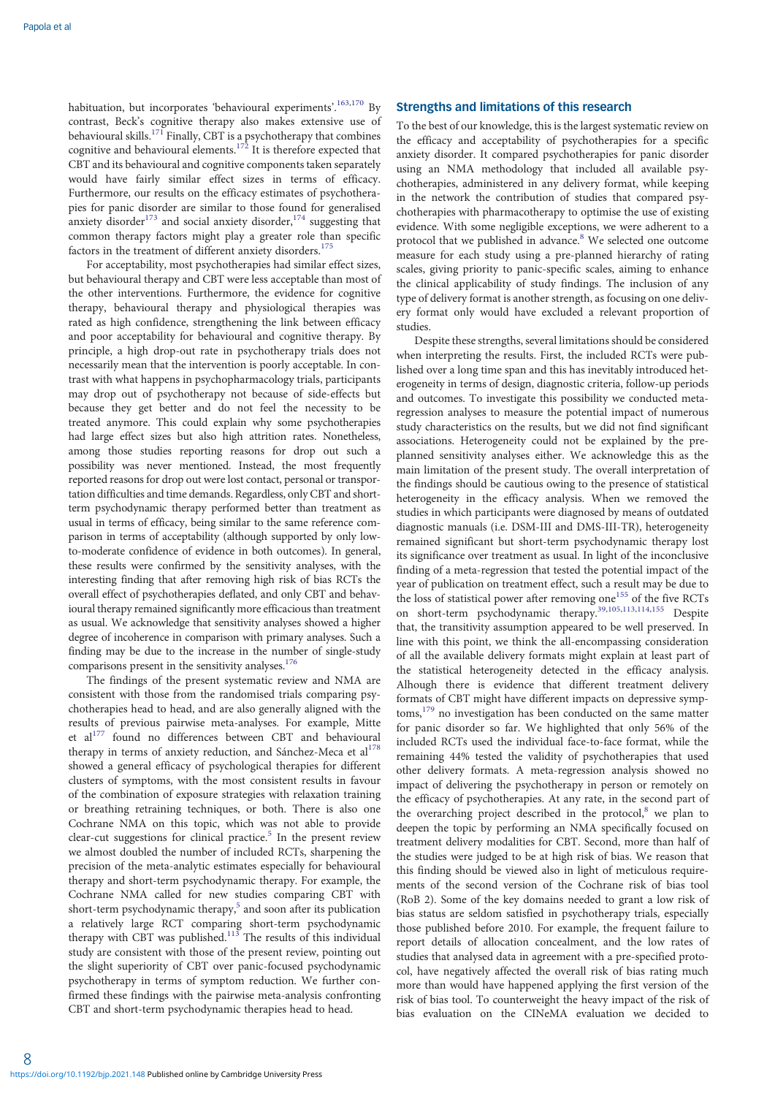habituation, but incorporates 'behavioural experiments'.<sup>[163](#page-12-0),[170](#page-12-0)</sup> By contrast, Beck's cognitive therapy also makes extensive use of behavioural skills.<sup>[171](#page-12-0)</sup> Finally, CBT is a psychotherapy that combines cognitive and behavioural elements.<sup>[172](#page-12-0)</sup> It is therefore expected that CBT and its behavioural and cognitive components taken separately would have fairly similar effect sizes in terms of efficacy. Furthermore, our results on the efficacy estimates of psychotherapies for panic disorder are similar to those found for generalised anxiety disorder<sup>173</sup> and social anxiety disorder,<sup>[174](#page-12-0)</sup> suggesting that common therapy factors might play a greater role than specific factors in the treatment of different anxiety disorders.<sup>17</sup>

For acceptability, most psychotherapies had similar effect sizes, but behavioural therapy and CBT were less acceptable than most of the other interventions. Furthermore, the evidence for cognitive therapy, behavioural therapy and physiological therapies was rated as high confidence, strengthening the link between efficacy and poor acceptability for behavioural and cognitive therapy. By principle, a high drop-out rate in psychotherapy trials does not necessarily mean that the intervention is poorly acceptable. In contrast with what happens in psychopharmacology trials, participants may drop out of psychotherapy not because of side-effects but because they get better and do not feel the necessity to be treated anymore. This could explain why some psychotherapies had large effect sizes but also high attrition rates. Nonetheless, among those studies reporting reasons for drop out such a possibility was never mentioned. Instead, the most frequently reported reasons for drop out were lost contact, personal or transportation difficulties and time demands. Regardless, only CBT and shortterm psychodynamic therapy performed better than treatment as usual in terms of efficacy, being similar to the same reference comparison in terms of acceptability (although supported by only lowto-moderate confidence of evidence in both outcomes). In general, these results were confirmed by the sensitivity analyses, with the interesting finding that after removing high risk of bias RCTs the overall effect of psychotherapies deflated, and only CBT and behavioural therapy remained significantly more efficacious than treatment as usual. We acknowledge that sensitivity analyses showed a higher degree of incoherence in comparison with primary analyses. Such a finding may be due to the increase in the number of single-study comparisons present in the sensitivity analyses.<sup>176</sup>

The findings of the present systematic review and NMA are consistent with those from the randomised trials comparing psychotherapies head to head, and are also generally aligned with the results of previous pairwise meta-analyses. For example, Mitte et al<sup>[177](#page-12-0)</sup> found no differences between CBT and behavioural therapy in terms of anxiety reduction, and Sánchez-Meca et al<sup>[178](#page-12-0)</sup> showed a general efficacy of psychological therapies for different clusters of symptoms, with the most consistent results in favour of the combination of exposure strategies with relaxation training or breathing retraining techniques, or both. There is also one Cochrane NMA on this topic, which was not able to provide clear-cut suggestions for clinical practice.<sup>[5](#page-9-0)</sup> In the present review we almost doubled the number of included RCTs, sharpening the precision of the meta-analytic estimates especially for behavioural therapy and short-term psychodynamic therapy. For example, the Cochrane NMA called for new studies comparing CBT with short-term psychodynamic therapy, $5$  and soon after its publication a relatively large RCT comparing short-term psychodynamic therapy with CBT was published.<sup>[113](#page-11-0)</sup> The results of this individual study are consistent with those of the present review, pointing out the slight superiority of CBT over panic-focused psychodynamic psychotherapy in terms of symptom reduction. We further confirmed these findings with the pairwise meta-analysis confronting CBT and short-term psychodynamic therapies head to head.

# Strengths and limitations of this research

To the best of our knowledge, this is the largest systematic review on the efficacy and acceptability of psychotherapies for a specific anxiety disorder. It compared psychotherapies for panic disorder using an NMA methodology that included all available psychotherapies, administered in any delivery format, while keeping in the network the contribution of studies that compared psychotherapies with pharmacotherapy to optimise the use of existing evidence. With some negligible exceptions, we were adherent to a protocol that we published in advance.<sup>[8](#page-9-0)</sup> We selected one outcome measure for each study using a pre-planned hierarchy of rating scales, giving priority to panic-specific scales, aiming to enhance the clinical applicability of study findings. The inclusion of any type of delivery format is another strength, as focusing on one delivery format only would have excluded a relevant proportion of studies.

Despite these strengths, several limitations should be considered when interpreting the results. First, the included RCTs were published over a long time span and this has inevitably introduced heterogeneity in terms of design, diagnostic criteria, follow-up periods and outcomes. To investigate this possibility we conducted metaregression analyses to measure the potential impact of numerous study characteristics on the results, but we did not find significant associations. Heterogeneity could not be explained by the preplanned sensitivity analyses either. We acknowledge this as the main limitation of the present study. The overall interpretation of the findings should be cautious owing to the presence of statistical heterogeneity in the efficacy analysis. When we removed the studies in which participants were diagnosed by means of outdated diagnostic manuals (i.e. DSM-III and DMS-III-TR), heterogeneity remained significant but short-term psychodynamic therapy lost its significance over treatment as usual. In light of the inconclusive finding of a meta-regression that tested the potential impact of the year of publication on treatment effect, such a result may be due to the loss of statistical power after removing one<sup>155</sup> of the five RCTs on short-term psychodynamic therapy.<sup>[39,](#page-9-0)[105,113,114](#page-11-0),[155](#page-12-0)</sup> Despite that, the transitivity assumption appeared to be well preserved. In line with this point, we think the all-encompassing consideration of all the available delivery formats might explain at least part of the statistical heterogeneity detected in the efficacy analysis. Alhough there is evidence that different treatment delivery formats of CBT might have different impacts on depressive symp $toms$ ,  $179$  no investigation has been conducted on the same matter for panic disorder so far. We highlighted that only 56% of the included RCTs used the individual face-to-face format, while the remaining 44% tested the validity of psychotherapies that used other delivery formats. A meta-regression analysis showed no impact of delivering the psychotherapy in person or remotely on the efficacy of psychotherapies. At any rate, in the second part of the overarching project described in the protocol, $\delta$  we plan to deepen the topic by performing an NMA specifically focused on treatment delivery modalities for CBT. Second, more than half of the studies were judged to be at high risk of bias. We reason that this finding should be viewed also in light of meticulous requirements of the second version of the Cochrane risk of bias tool (RoB 2). Some of the key domains needed to grant a low risk of bias status are seldom satisfied in psychotherapy trials, especially those published before 2010. For example, the frequent failure to report details of allocation concealment, and the low rates of studies that analysed data in agreement with a pre-specified protocol, have negatively affected the overall risk of bias rating much more than would have happened applying the first version of the risk of bias tool. To counterweight the heavy impact of the risk of bias evaluation on the CINeMA evaluation we decided to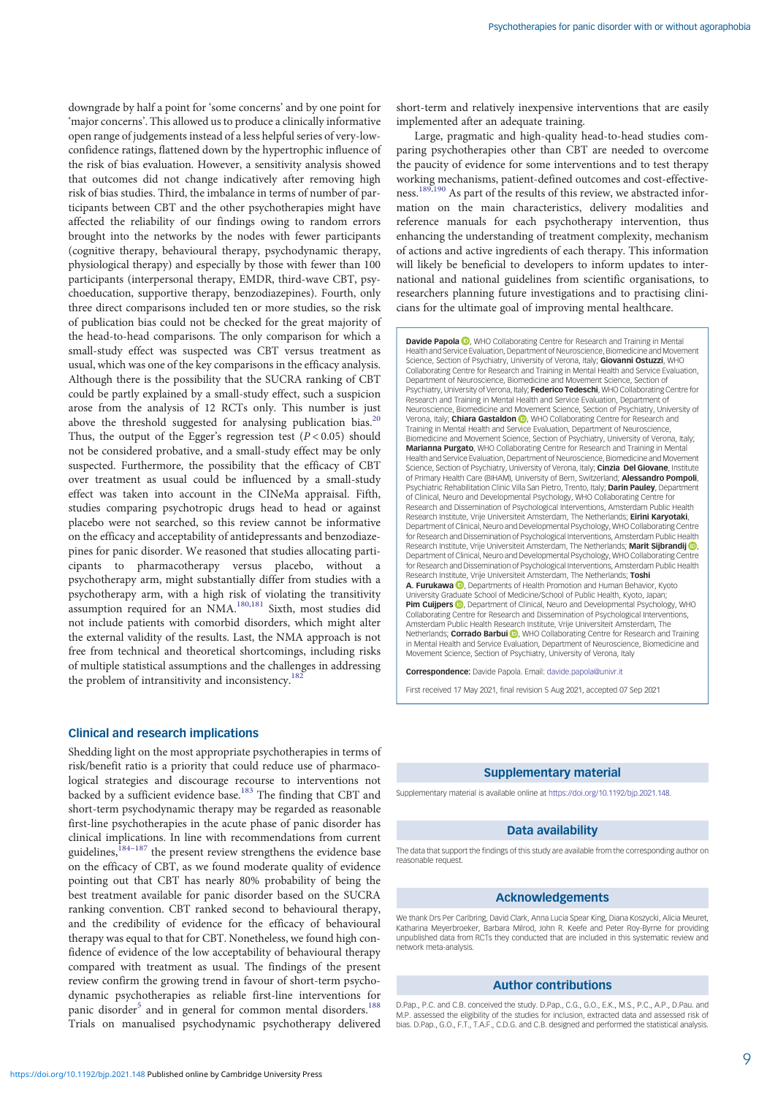downgrade by half a point for 'some concerns' and by one point for 'major concerns'. This allowed us to produce a clinically informative open range of judgements instead of a less helpful series of very-lowconfidence ratings, flattened down by the hypertrophic influence of the risk of bias evaluation. However, a sensitivity analysis showed that outcomes did not change indicatively after removing high risk of bias studies. Third, the imbalance in terms of number of participants between CBT and the other psychotherapies might have affected the reliability of our findings owing to random errors brought into the networks by the nodes with fewer participants (cognitive therapy, behavioural therapy, psychodynamic therapy, physiological therapy) and especially by those with fewer than 100 participants (interpersonal therapy, EMDR, third-wave CBT, psychoeducation, supportive therapy, benzodiazepines). Fourth, only three direct comparisons included ten or more studies, so the risk of publication bias could not be checked for the great majority of the head-to-head comparisons. The only comparison for which a small-study effect was suspected was CBT versus treatment as usual, which was one of the key comparisons in the efficacy analysis. Although there is the possibility that the SUCRA ranking of CBT could be partly explained by a small-study effect, such a suspicion arose from the analysis of 12 RCTs only. This number is just above the threshold suggested for analysing publication bias.<sup>2</sup> Thus, the output of the Egger's regression test  $(P < 0.05)$  should not be considered probative, and a small-study effect may be only suspected. Furthermore, the possibility that the efficacy of CBT over treatment as usual could be influenced by a small-study effect was taken into account in the CINeMa appraisal. Fifth, studies comparing psychotropic drugs head to head or against placebo were not searched, so this review cannot be informative on the efficacy and acceptability of antidepressants and benzodiazepines for panic disorder. We reasoned that studies allocating participants to pharmacotherapy versus placebo, without a psychotherapy arm, might substantially differ from studies with a psychotherapy arm, with a high risk of violating the transitivity assumption required for an NMA.<sup>[180](#page-12-0),[181](#page-12-0)</sup> Sixth, most studies did not include patients with comorbid disorders, which might alter the external validity of the results. Last, the NMA approach is not free from technical and theoretical shortcomings, including risks of multiple statistical assumptions and the challenges in addressing the problem of intransitivity and inconsistency.<sup>18</sup>

### Clinical and research implications

Shedding light on the most appropriate psychotherapies in terms of risk/benefit ratio is a priority that could reduce use of pharmacological strategies and discourage recourse to interventions not backed by a sufficient evidence base.<sup>183</sup> The finding that CBT and short-term psychodynamic therapy may be regarded as reasonable first-line psychotherapies in the acute phase of panic disorder has clinical implications. In line with recommendations from current guidelines, ${}^{184-187}$  ${}^{184-187}$  ${}^{184-187}$  ${}^{184-187}$  ${}^{184-187}$  the present review strengthens the evidence base on the efficacy of CBT, as we found moderate quality of evidence pointing out that CBT has nearly 80% probability of being the best treatment available for panic disorder based on the SUCRA ranking convention. CBT ranked second to behavioural therapy, and the credibility of evidence for the efficacy of behavioural therapy was equal to that for CBT. Nonetheless, we found high confidence of evidence of the low acceptability of behavioural therapy compared with treatment as usual. The findings of the present review confirm the growing trend in favour of short-term psychodynamic psychotherapies as reliable first-line interventions for panic disorder<sup>[5](#page-9-0)</sup> and in general for common mental disorders.<sup>18</sup> Trials on manualised psychodynamic psychotherapy delivered short-term and relatively inexpensive interventions that are easily implemented after an adequate training.

Large, pragmatic and high-quality head-to-head studies comparing psychotherapies other than CBT are needed to overcome the paucity of evidence for some interventions and to test therapy working mechanisms, patient-defined outcomes and cost-effective-ness.<sup>[189](#page-12-0),[190](#page-12-0)</sup> As part of the results of this review, we abstracted information on the main characteristics, delivery modalities and reference manuals for each psychotherapy intervention, thus enhancing the understanding of treatment complexity, mechanism of actions and active ingredients of each therapy. This information will likely be beneficial to developers to inform updates to international and national guidelines from scientific organisations, to researchers planning future investigations and to practising clinicians for the ultimate goal of improving mental healthcare.

Davide Papola (D), WHO Collaborating Centre for Research and Training in Mental Health and Service Evaluation, Department of Neuroscience, Biomedicine and Movement Science, Section of Psychiatry, University of Verona, Italy; Giovanni Ostuzzi, WHO Collaborating Centre for Research and Training in Mental Health and Service Evaluation, Department of Neuroscience, Biomedicine and Movement Science, Section of Psychiatry, University of Verona, Italy; Federico Tedeschi, WHO Collaborating Centre for Research and Training in Mental Health and Service Evaluation, Department of Neuroscience, Biomedicine and Movement Science, Section of Psychiatry, University of Verona[,](https://orcid.org/0000-0001-7257-2962) Italy; Chiara Gastaldon (D), WHO Collaborating Centre for Research and Training in Mental Health and Service Evaluation, Department of Neuroscience, Biomedicine and Movement Science, Section of Psychiatry, University of Verona, Italy; Marianna Purgato, WHO Collaborating Centre for Research and Training in Mental Health and Service Evaluation, Department of Neuroscience, Biomedicine and Movement Science, Section of Psychiatry, University of Verona, Italy; Cinzia Del Giovane, Institute of Primary Health Care (BIHAM), University of Bern, Switzerland; Alessandro Pompoli, Psychiatric Rehabilitation Clinic Villa San Pietro, Trento, Italy; Darin Pauley, Department of Clinical, Neuro and Developmental Psychology, WHO Collaborating Centre for Research and Dissemination of Psychological Interventions, Amsterdam Public Health Research Institute, Vrije Universiteit Amsterdam, The Netherlands; Eirini Karyotaki, Department of Clinical, Neuro and Developmental Psychology, WHO Collaborating Centre for Research and Dissemination of Psychological Interventions, Amsterdam Public Health Research Institute[,](https://orcid.org/0000-0001-5430-9810) Vrije Universiteit Amsterdam, The Netherlands; Marit Sijbrandij iD Department of Clinical, Neuro and Developmental Psychology, WHO Collaborating Centre for Research and Dissemination of Psychological Interventions, Amsterdam Public Health Research Institute, Vrije Universiteit Amsterdam, The Netherlands; Toshi A. Furukawa **D**[,](https://orcid.org/0000-0003-2159-3776) Departments of Health Promotion and Human Behavior, Kyoto University Graduate School of Medicine/School of Public Health, Kyoto, Japan; Pim Cuijpers **D**, Department of Clinical, Neuro and Developmental Psychology, WHO Collaborating Centre for Research and Dissemination of Psychological Interventions, Amsterdam Public Health Research Institute, Vrije Universiteit Amsterdam, The Netherlands; Corrado Barbui , WHO Collaborating Centre for Research and Training in Mental Health and Service Evaluation, Department of Neuroscience, Biomedicine and Movement Science, Section of Psychiatry, University of Verona, Italy

Correspondence: Davide Papola. Email: [davide.papola@univr.it](mailto:davide.papola@univr.it)

First received 17 May 2021, final revision 5 Aug 2021, accepted 07 Sep 2021

### Supplementary material

Supplementary material is available online at <https://doi.org/10.1192/bjp.2021.148>.

### Data availability

The data that support the findings of this study are available from the corresponding author on reasonable request

#### Acknowledgements

We thank Drs Per Carlbring, David Clark, Anna Lucia Spear King, Diana Koszycki, Alicia Meuret, Katharina Meyerbroeker, Barbara Milrod, John R. Keefe and Peter Roy-Byrne for providing unpublished data from RCTs they conducted that are included in this systematic review and network meta-analysis.

#### Author contributions

D.Pap., P.C. and C.B. conceived the study. D.Pap., C.G., G.O., E.K., M.S., P.C., A.P., D.Pau. and M.P. assessed the eligibility of the studies for inclusion, extracted data and assessed risk of bias. D.Pap., G.O., F.T., T.A.F., C.D.G. and C.B. designed and performed the statistical analysis.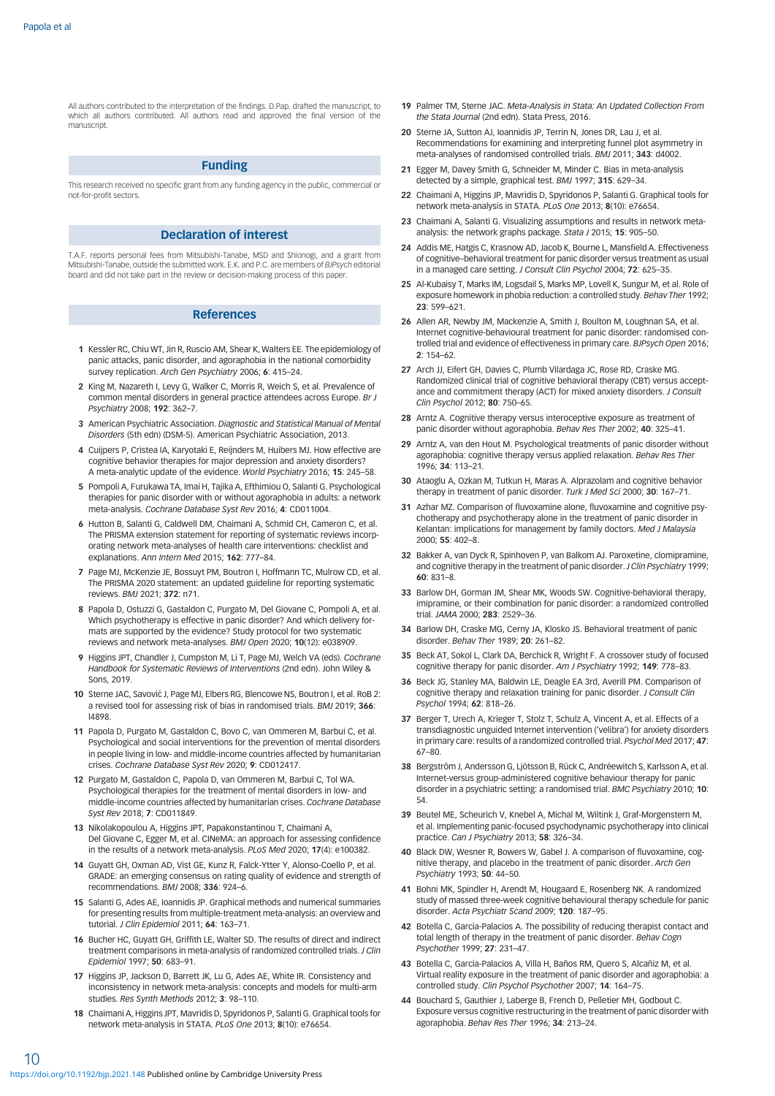<span id="page-9-0"></span>All authors contributed to the interpretation of the findings. D.Pap. drafted the manuscript, to which all authors contributed. All authors read and approved the final version of the manuscript.

# Funding

This research received no specific grant from any funding agency in the public, commercial or not-for-profit sectors.

### Declaration of interest

T.A.F. reports personal fees from Mitsubishi-Tanabe, MSD and Shionogi, and a grant from Mitsubishi-Tanabe, outside the submitted work. E.K. and P.C. are members of BJPsych editorial board and did not take part in the review or decision-making process of this paper.

#### References

- 1 Kessler RC, Chiu WT, Jin R, Ruscio AM, Shear K, Walters EE. The epidemiology of panic attacks, panic disorder, and agoraphobia in the national comorbidity survey replication. Arch Gen Psychiatry 2006; 6: 415-24.
- 2 King M, Nazareth I, Levy G, Walker C, Morris R, Weich S, et al. Prevalence of common mental disorders in general practice attendees across Europe. Br J Psychiatry 2008; 192: 362–7.
- 3 American Psychiatric Association. Diagnostic and Statistical Manual of Mental Disorders (5th edn) (DSM-5). American Psychiatric Association, 2013.
- 4 Cuijpers P, Cristea IA, Karyotaki E, Reijnders M, Huibers MJ. How effective are cognitive behavior therapies for major depression and anxiety disorders? A meta-analytic update of the evidence. World Psychiatry 2016; 15: 245–58.
- 5 Pompoli A, Furukawa TA, Imai H, Tajika A, Efthimiou O, Salanti G. Psychological therapies for panic disorder with or without agoraphobia in adults: a network meta-analysis. Cochrane Database Syst Rev 2016; 4: CD011004.
- 6 Hutton B, Salanti G, Caldwell DM, Chaimani A, Schmid CH, Cameron C, et al. The PRISMA extension statement for reporting of systematic reviews incorporating network meta-analyses of health care interventions: checklist and explanations. Ann Intern Med 2015; 162: 777–84.
- 7 Page MJ, McKenzie JE, Bossuyt PM, Boutron I, Hoffmann TC, Mulrow CD, et al. The PRISMA 2020 statement: an updated guideline for reporting systematic reviews. BMJ 2021; 372: n71.
- 8 Papola D, Ostuzzi G, Gastaldon C, Purgato M, Del Giovane C, Pompoli A, et al. Which psychotherapy is effective in panic disorder? And which delivery formats are supported by the evidence? Study protocol for two systematic reviews and network meta-analyses. BMJ Open 2020; 10(12): e038909.
- 9 Higgins JPT, Chandler J, Cumpston M, Li T, Page MJ, Welch VA (eds). Cochrane Handbook for Systematic Reviews of Interventions (2nd edn). John Wiley & Sons, 2019.
- 10 Sterne JAC, Savović J, Page MJ, Elbers RG, Blencowe NS, Boutron I, et al. RoB 2: a revised tool for assessing risk of bias in randomised trials. BMJ 2019; 366: l4898.
- 11 Papola D, Purgato M, Gastaldon C, Bovo C, van Ommeren M, Barbui C, et al. Psychological and social interventions for the prevention of mental disorders in people living in low- and middle-income countries affected by humanitarian crises. Cochrane Database Syst Rev 2020; 9: CD012417.
- 12 Purgato M, Gastaldon C, Papola D, van Ommeren M, Barbui C, Tol WA. Psychological therapies for the treatment of mental disorders in low- and middle-income countries affected by humanitarian crises. Cochrane Database Syst Rev 2018; 7: CD011849.
- 13 Nikolakopoulou A, Higgins JPT, Papakonstantinou T, Chaimani A, Del Giovane C, Egger M, et al. CINeMA: an approach for assessing confidence in the results of a network meta-analysis. PLoS Med 2020; 17(4): e100382.
- 14 Guyatt GH, Oxman AD, Vist GE, Kunz R, Falck-Ytter Y, Alonso-Coello P, et al. GRADE: an emerging consensus on rating quality of evidence and strength of recommendations. BMJ 2008; 336: 924–6.
- 15 Salanti G, Ades AE, Ioannidis JP. Graphical methods and numerical summaries for presenting results from multiple-treatment meta-analysis: an overview and tutorial. J Clin Epidemiol 2011; 64: 163–71.
- 16 Bucher HC, Guyatt GH, Griffith LE, Walter SD. The results of direct and indirect treatment comparisons in meta-analysis of randomized controlled trials. J Clin Epidemiol 1997; 50: 683–91.
- 17 Higgins JP, Jackson D, Barrett JK, Lu G, Ades AE, White IR. Consistency and inconsistency in network meta-analysis: concepts and models for multi-arm studies. Res Synth Methods 2012; 3: 98–110.
- 18 Chaimani A, Higgins JPT, Mavridis D, Spyridonos P, Salanti G. Graphical tools for network meta-analysis in STATA. PLoS One 2013; 8(10): e76654.
- 19 Palmer TM, Sterne JAC. Meta-Analysis in Stata: An Updated Collection From the Stata Journal (2nd edn). Stata Press, 2016.
- 20 Sterne JA, Sutton AJ, Ioannidis JP, Terrin N, Jones DR, Lau J, et al. Recommendations for examining and interpreting funnel plot asymmetry in meta-analyses of randomised controlled trials. BMJ 2011; 343: d4002.
- 21 Egger M, Davey Smith G, Schneider M, Minder C. Bias in meta-analysis detected by a simple, graphical test. BMJ 1997; 315: 629–34.
- 22 Chaimani A, Higgins JP, Mavridis D, Spyridonos P, Salanti G. Graphical tools for network meta-analysis in STATA. PLoS One 2013; 8(10): e76654.
- 23 Chaimani A, Salanti G. Visualizing assumptions and results in network metaanalysis: the network graphs package. Stata J 2015; 15: 905-50.
- 24 Addis ME, Hatgis C, Krasnow AD, Jacob K, Bourne L, Mansfield A. Effectiveness of cognitive–behavioral treatment for panic disorder versus treatment as usual in a managed care setting. J Consult Clin Psychol 2004; 72: 625-35
- 25 Al-Kubaisy T, Marks IM, Logsdail S, Marks MP, Lovell K, Sungur M, et al. Role of exposure homework in phobia reduction: a controlled study. Behav Ther 1992; 23: 599–621.
- 26 Allen AR, Newby JM, Mackenzie A, Smith J, Boulton M, Loughnan SA, et al. Internet cognitive-behavioural treatment for panic disorder: randomised controlled trial and evidence of effectiveness in primary care. BJPsych Open 2016; 2: 154–62.
- 27 Arch JJ, Eifert GH, Davies C, Plumb Vilardaga JC, Rose RD, Craske MG. Randomized clinical trial of cognitive behavioral therapy (CBT) versus acceptance and commitment therapy (ACT) for mixed anxiety disorders. J Consult Clin Psychol 2012; 80: 750–65.
- 28 Arntz A. Cognitive therapy versus interoceptive exposure as treatment of panic disorder without agoraphobia. Behav Res Ther 2002; 40: 325-41
- 29 Arntz A, van den Hout M. Psychological treatments of panic disorder without agoraphobia: cognitive therapy versus applied relaxation. Behav Res Ther 1996; 34: 113–21.
- 30 Ataoglu A, Ozkan M, Tutkun H, Maras A. Alprazolam and cognitive behavior therapy in treatment of panic disorder. Turk J Med Sci 2000; 30: 167–71.
- 31 Azhar MZ. Comparison of fluvoxamine alone, fluvoxamine and cognitive psychotherapy and psychotherapy alone in the treatment of panic disorder in Kelantan: implications for management by family doctors. Med J Malaysia 2000; 55: 402–8.
- 32 Bakker A, van Dyck R, Spinhoven P, van Balkom AJ. Paroxetine, clomipramine, and cognitive therapy in the treatment of panic disorder. J Clin Psychiatry 1999; 60: 831–8.
- 33 Barlow DH, Gorman JM, Shear MK, Woods SW. Cognitive-behavioral therapy, imipramine, or their combination for panic disorder: a randomized controlled trial. JAMA 2000; 283: 2529–36.
- 34 Barlow DH, Craske MG, Cerny JA, Klosko JS. Behavioral treatment of panic disorder. Behav Ther 1989; 20: 261–82.
- 35 Beck AT, Sokol L, Clark DA, Berchick R, Wright F. A crossover study of focused cognitive therapy for panic disorder. Am J Psychiatry 1992; 149: 778–83.
- 36 Beck JG, Stanley MA, Baldwin LE, Deagle EA 3rd, Averill PM. Comparison of cognitive therapy and relaxation training for panic disorder. J Consult Clin Psychol 1994; 62: 818–26.
- 37 Berger T, Urech A, Krieger T, Stolz T, Schulz A, Vincent A, et al. Effects of a transdiagnostic unguided Internet intervention ('velibra') for anxiety disorders in primary care: results of a randomized controlled trial. Psychol Med 2017; 47: 67–80.
- 38 Bergström J, Andersson G, Ljótsson B, Rück C, Andréewitch S, Karlsson A, et al. Internet-versus group-administered cognitive behaviour therapy for panic disorder in a psychiatric setting: a randomised trial. BMC Psychiatry 2010; 10: 54.
- 39 Beutel ME, Scheurich V, Knebel A, Michal M, Wiltink J, Graf-Morgenstern M, et al. Implementing panic-focused psychodynamic psychotherapy into clinical practice. Can J Psychiatry 2013; 58: 326–34.
- 40 Black DW, Wesner R, Bowers W, Gabel J. A comparison of fluvoxamine, cognitive therapy, and placebo in the treatment of panic disorder. Arch Gen Psychiatry 1993; 50: 44–50.
- 41 Bohni MK, Spindler H, Arendt M, Hougaard E, Rosenberg NK. A randomized study of massed three-week cognitive behavioural therapy schedule for panic disorder. Acta Psychiatr Scand 2009; 120: 187–95.
- 42 Botella C, García-Palacios A. The possibility of reducing therapist contact and total length of therapy in the treatment of panic disorder. Behav Cogn Psychother 1999; 27: 231–47.
- 43 Botella C, García-Palacios A, Villa H, Baños RM, Quero S, Alcañiz M, et al. Virtual reality exposure in the treatment of panic disorder and agoraphobia: a controlled study. Clin Psychol Psychother 2007; 14: 164–75.
- 44 Bouchard S, Gauthier J, Laberge B, French D, Pelletier MH, Godbout C. Exposure versus cognitive restructuring in the treatment of panic disorder with agoraphobia. Behav Res Ther 1996; 34: 213–24.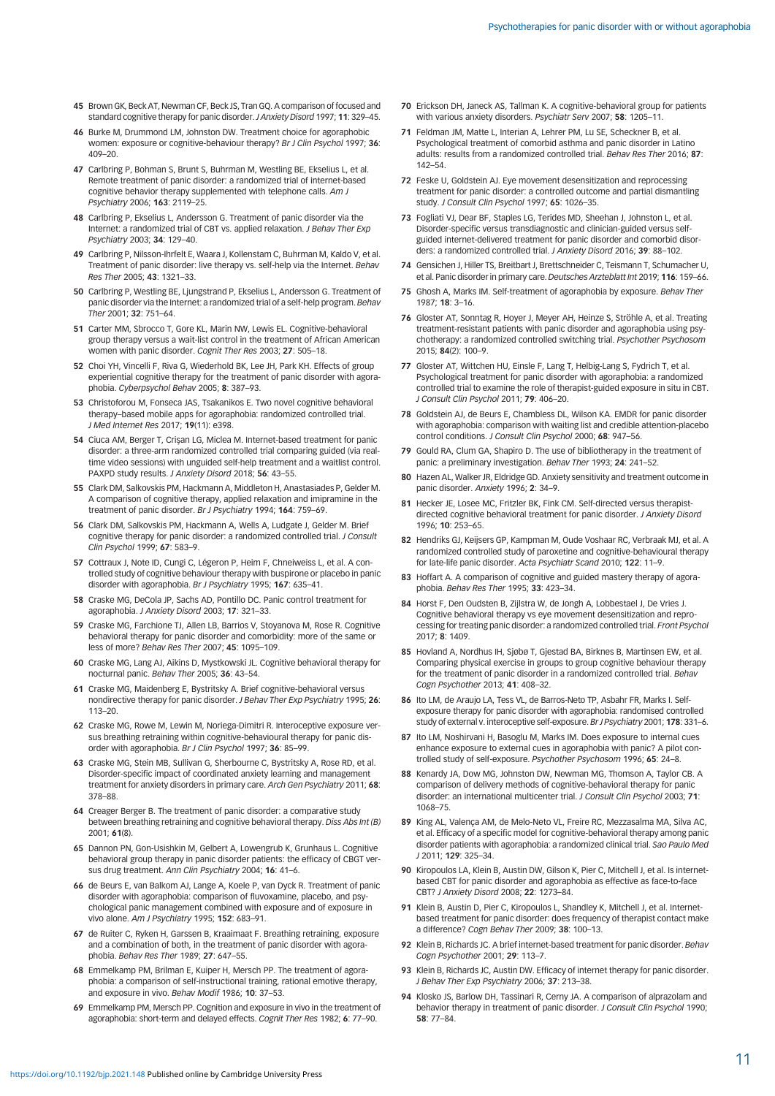- <span id="page-10-0"></span>45 Brown GK, Beck AT, Newman CF, Beck JS, Tran GQ. A comparison of focused and standard cognitive therapy for panic disorder. J Anxiety Disord 1997; 11: 329-45.
- 46 Burke M, Drummond LM, Johnston DW. Treatment choice for agoraphobic women: exposure or cognitive-behaviour therapy? Br J Clin Psychol 1997; 36: 409–20.
- 47 Carlbring P, Bohman S, Brunt S, Buhrman M, Westling BE, Ekselius L, et al. Remote treatment of panic disorder: a randomized trial of internet-based cognitive behavior therapy supplemented with telephone calls. Am J Psychiatry 2006; 163: 2119–25.
- 48 Carlbring P, Ekselius L, Andersson G. Treatment of panic disorder via the Internet: a randomized trial of CBT vs. applied relaxation. J Behav Ther Exp Psychiatry 2003; 34: 129–40.
- 49 Carlbring P, Nilsson-Ihrfelt E, Waara J, Kollenstam C, Buhrman M, Kaldo V, et al. Treatment of panic disorder: live therapy vs. self-help via the Internet. Behav Res Ther 2005; 43: 1321–33.
- 50 Carlbring P, Westling BE, Ljungstrand P, Ekselius L, Andersson G. Treatment of panic disorder via the Internet: a randomized trial of a self-help program. Behav Ther 2001; 32: 751–64.
- 51 Carter MM, Sbrocco T, Gore KL, Marin NW, Lewis EL. Cognitive-behavioral group therapy versus a wait-list control in the treatment of African American women with panic disorder. Cognit Ther Res 2003; 27: 505–18.
- 52 Choi YH, Vincelli F, Riva G, Wiederhold BK, Lee JH, Park KH. Effects of group experiential cognitive therapy for the treatment of panic disorder with agoraphobia. Cyberpsychol Behav 2005; 8: 387–93.
- 53 Christoforou M, Fonseca JAS, Tsakanikos E. Two novel cognitive behavioral therapy–based mobile apps for agoraphobia: randomized controlled trial. J Med Internet Res 2017; 19(11): e398.
- 54 Ciuca AM, Berger T, Crisan LG, Miclea M, Internet-based treatment for panic disorder: a three-arm randomized controlled trial comparing guided (via realtime video sessions) with unguided self-help treatment and a waitlist control. PAXPD study results. J Anxiety Disord 2018; 56: 43-55.
- 55 Clark DM, Salkovskis PM, Hackmann A, Middleton H, Anastasiades P, Gelder M. A comparison of cognitive therapy, applied relaxation and imipramine in the treatment of panic disorder. Br J Psychiatry 1994; 164: 759–69.
- 56 Clark DM, Salkovskis PM, Hackmann A, Wells A, Ludgate J, Gelder M. Brief cognitive therapy for panic disorder: a randomized controlled trial. J Consult Clin Psychol 1999; 67: 583–9.
- 57 Cottraux J, Note ID, Cungi C, Légeron P, Heim F, Chneiweiss L, et al. A controlled study of cognitive behaviour therapy with buspirone or placebo in panic disorder with agoraphobia. Br J Psychiatry 1995; 167: 635–41.
- 58 Craske MG, DeCola JP, Sachs AD, Pontillo DC. Panic control treatment for agoraphobia. J Anxiety Disord 2003; 17: 321–33.
- 59 Craske MG, Farchione TJ, Allen LB, Barrios V, Stoyanova M, Rose R, Cognitive behavioral therapy for panic disorder and comorbidity: more of the same or less of more? Behav Res Ther 2007; 45: 1095–109.
- 60 Craske MG, Lang AJ, Aikins D, Mystkowski JL. Cognitive behavioral therapy for nocturnal panic. Behav Ther 2005; 36: 43–54.
- 61 Craske MG, Maidenberg E, Bystritsky A. Brief cognitive-behavioral versus nondirective therapy for panic disorder. J Behav Ther Exp Psychiatry 1995; 26: 113–20.
- 62 Craske MG, Rowe M, Lewin M, Noriega-Dimitri R. Interoceptive exposure versus breathing retraining within cognitive-behavioural therapy for panic disorder with agoraphobia. Br J Clin Psychol 1997; 36: 85–99.
- 63 Craske MG, Stein MB, Sullivan G, Sherbourne C, Bystritsky A, Rose RD, et al. Disorder-specific impact of coordinated anxiety learning and management treatment for anxiety disorders in primary care. Arch Gen Psychiatry 2011; 68: 378–88.
- 64 Creager Berger B. The treatment of panic disorder: a comparative study between breathing retraining and cognitive behavioral therapy. Diss Abs Int (B) 2001; 61(8).
- 65 Dannon PN, Gon-Usishkin M, Gelbert A, Lowengrub K, Grunhaus L. Cognitive behavioral group therapy in panic disorder patients: the efficacy of CBGT versus drug treatment. Ann Clin Psychiatry 2004; 16: 41–6.
- 66 de Beurs E, van Balkom AJ, Lange A, Koele P, van Dyck R. Treatment of panic disorder with agoraphobia: comparison of fluvoxamine, placebo, and psychological panic management combined with exposure and of exposure in vivo alone. Am J Psychiatry 1995; 152: 683–91.
- 67 de Ruiter C, Ryken H, Garssen B, Kraaimaat F. Breathing retraining, exposure and a combination of both, in the treatment of panic disorder with agoraphobia. Behav Res Ther 1989; 27: 647–55.
- 68 Emmelkamp PM, Brilman E, Kuiper H, Mersch PP. The treatment of agoraphobia: a comparison of self-instructional training, rational emotive therapy, and exposure in vivo. Behav Modif 1986; 10: 37–53.
- 69 Emmelkamp PM, Mersch PP. Cognition and exposure in vivo in the treatment of agoraphobia: short-term and delayed effects. Cognit Ther Res 1982; 6: 77–90.
- 70 Erickson DH, Janeck AS, Tallman K. A cognitive-behavioral group for patients with various anxiety disorders. Psychiatr Serv 2007; 58: 1205-11.
- 71 Feldman JM, Matte L, Interian A, Lehrer PM, Lu SE, Scheckner B, et al. Psychological treatment of comorbid asthma and panic disorder in Latino adults: results from a randomized controlled trial. Behav Res Ther 2016; 87: 142–54.
- 72 Feske U, Goldstein AJ. Eye movement desensitization and reprocessing treatment for panic disorder: a controlled outcome and partial dismantling study. J Consult Clin Psychol 1997; 65: 1026–35.
- 73 Fogliati VJ, Dear BF, Staples LG, Terides MD, Sheehan J, Johnston L, et al. Disorder-specific versus transdiagnostic and clinician-guided versus selfguided internet-delivered treatment for panic disorder and comorbid disorders: a randomized controlled trial. J Anxiety Disord 2016; 39: 88–102.
- 74 Gensichen J, Hiller TS, Breitbart J, Brettschneider C, Teismann T, Schumacher U, et al. Panic disorder in primary care. Deutsches Arzteblatt Int 2019; 116: 159–66.
- 75 Ghosh A, Marks IM. Self-treatment of agoraphobia by exposure. Behav Ther 1987; 18: 3–16.
- 76 Gloster AT, Sonntag R, Hoyer J, Meyer AH, Heinze S, Ströhle A, et al. Treating treatment-resistant patients with panic disorder and agoraphobia using psychotherapy: a randomized controlled switching trial. Psychother Psychosom 2015; 84(2): 100–9.
- 77 Gloster AT, Wittchen HU, Einsle F, Lang T, Helbig-Lang S, Fydrich T, et al. Psychological treatment for panic disorder with agoraphobia: a randomized controlled trial to examine the role of therapist-guided exposure in situ in CBT. J Consult Clin Psychol 2011; 79: 406–20.
- 78 Goldstein AJ, de Beurs E, Chambless DL, Wilson KA. EMDR for panic disorder with agoraphobia: comparison with waiting list and credible attention-placebo control conditions. J Consult Clin Psychol 2000; 68: 947–56.
- 79 Gould RA, Clum GA, Shapiro D. The use of bibliotherapy in the treatment of panic: a preliminary investigation. Behav Ther 1993; 24: 241–52.
- 80 Hazen AL, Walker JR, Eldridge GD. Anxiety sensitivity and treatment outcome in panic disorder. Anxiety 1996; 2: 34–9.
- 81 Hecker JE, Losee MC, Fritzler BK, Fink CM. Self-directed versus therapistdirected cognitive behavioral treatment for panic disorder. J Anxiety Disord 1996; 10: 253–65.
- 82 Hendriks GJ, Keijsers GP, Kampman M, Oude Voshaar RC, Verbraak MJ, et al. A randomized controlled study of paroxetine and cognitive-behavioural therapy for late-life panic disorder. Acta Psychiatr Scand 2010; 122: 11-9.
- 83 Hoffart A. A comparison of cognitive and guided mastery therapy of agoraphobia. Behav Res Ther 1995; 33: 423–34.
- 84 Horst F, Den Oudsten B, Zijlstra W, de Jongh A, Lobbestael J, De Vries J. Cognitive behavioral therapy vs eye movement desensitization and reprocessing for treating panic disorder: a randomized controlled trial. Front Psychol 2017; 8: 1409.
- 85 Hovland A, Nordhus IH, Sjøbø T, Gjestad BA, Birknes B, Martinsen EW, et al. Comparing physical exercise in groups to group cognitive behaviour therapy for the treatment of panic disorder in a randomized controlled trial. Behav Cogn Psychother 2013; 41: 408–32.
- 86 Ito LM, de Araujo LA, Tess VL, de Barros-Neto TP, Asbahr FR, Marks L. Selfexposure therapy for panic disorder with agoraphobia: randomised controlled study of external v. interoceptive self-exposure. Br J Psychiatry 2001; 178: 331-6.
- 87 Ito LM, Noshirvani H, Basoglu M, Marks IM. Does exposure to internal cues enhance exposure to external cues in agoraphobia with panic? A pilot controlled study of self-exposure. Psychother Psychosom 1996; 65: 24-8
- 88 Kenardy JA, Dow MG, Johnston DW, Newman MG, Thomson A, Taylor CB. A comparison of delivery methods of cognitive-behavioral therapy for panic disorder: an international multicenter trial. J Consult Clin Psychol 2003; 71: 1068–75.
- 89 King AL, Valença AM, de Melo-Neto VL, Freire RC, Mezzasalma MA, Silva AC, et al. Efficacy of a specific model for cognitive-behavioral therapy among panic disorder patients with agoraphobia: a randomized clinical trial. Sao Paulo Med J 2011; 129: 325–34.
- 90 Kiropoulos LA, Klein B, Austin DW, Gilson K, Pier C, Mitchell J, et al. Is internetbased CBT for panic disorder and agoraphobia as effective as face-to-face CBT? J Anxiety Disord 2008; 22: 1273–84.
- 91 Klein B, Austin D, Pier C, Kiropoulos L, Shandley K, Mitchell J, et al. Internetbased treatment for panic disorder: does frequency of therapist contact make a difference? Cogn Behav Ther 2009; 38: 100–13.
- 92 Klein B, Richards JC. A brief internet-based treatment for panic disorder. Behav Cogn Psychother 2001; 29: 113–7.
- 93 Klein B, Richards JC, Austin DW. Efficacy of internet therapy for panic disorder. J Behav Ther Exp Psychiatry 2006; 37: 213–38.
- 94 Klosko JS, Barlow DH, Tassinari R, Cerny JA. A comparison of alprazolam and behavior therapy in treatment of panic disorder. J Consult Clin Psychol 1990; 58: 77–84.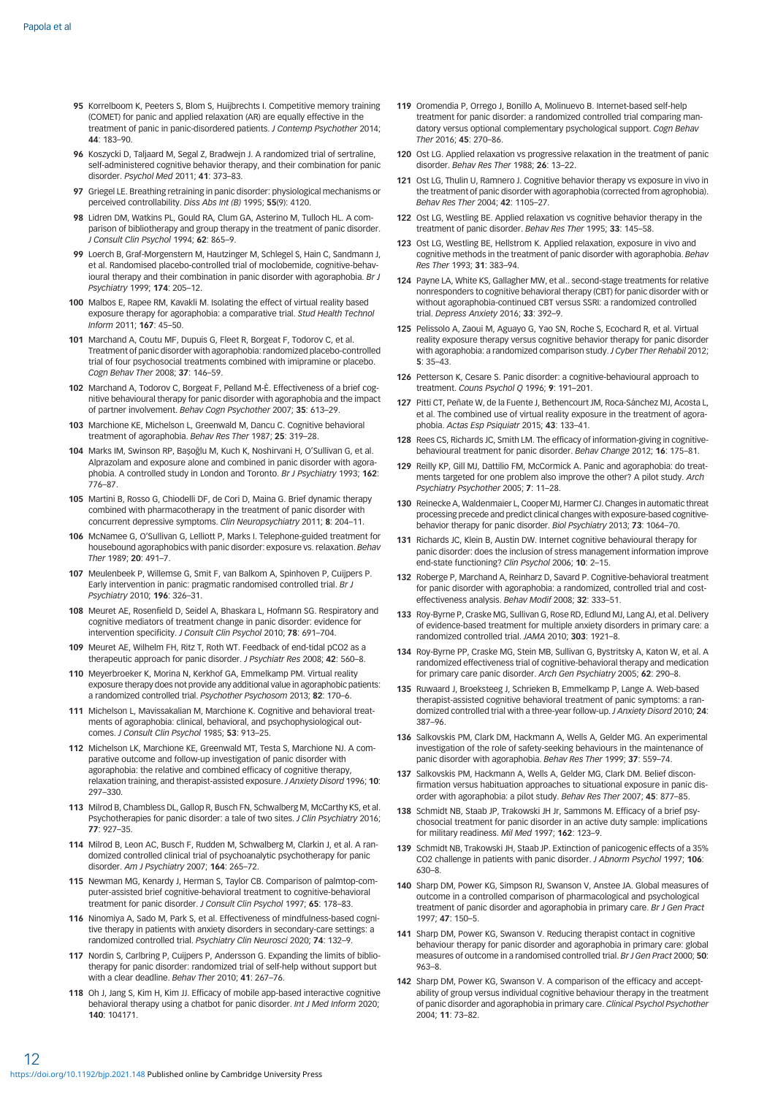- <span id="page-11-0"></span>95 Korrelboom K, Peeters S, Blom S, Huijbrechts I. Competitive memory training (COMET) for panic and applied relaxation (AR) are equally effective in the treatment of panic in panic-disordered patients. J Contemp Psychother 2014; 44: 183–90.
- 96 Koszycki D, Taljaard M, Segal Z, Bradwejn J. A randomized trial of sertraline, self-administered cognitive behavior therapy, and their combination for panic disorder. Psychol Med 2011; 41: 373–83.
- 97 Griegel LE. Breathing retraining in panic disorder: physiological mechanisms or perceived controllability. Diss Abs Int (B) 1995; 55(9): 4120.
- 98 Lidren DM, Watkins PL, Gould RA, Clum GA, Asterino M, Tulloch HL. A comparison of bibliotherapy and group therapy in the treatment of panic disorder. J Consult Clin Psychol 1994; 62: 865–9.
- 99 Loerch B, Graf-Morgenstern M, Hautzinger M, Schlegel S, Hain C, Sandmann J, et al. Randomised placebo-controlled trial of moclobemide, cognitive-behavioural therapy and their combination in panic disorder with agoraphobia. Br J Psychiatry 1999; 174: 205–12.
- 100 Malbos E, Rapee RM, Kavakli M. Isolating the effect of virtual reality based exposure therapy for agoraphobia: a comparative trial. Stud Health Technol Inform 2011; 167: 45–50.
- 101 Marchand A, Coutu MF, Dupuis G, Fleet R, Borgeat F, Todorov C, et al. Treatment of panic disorder with agoraphobia: randomized placebo-controlled trial of four psychosocial treatments combined with imipramine or placebo. Cogn Behav Ther 2008; 37: 146–59.
- 102 Marchand A, Todorov C, Borgeat F, Pelland M-È. Effectiveness of a brief cognitive behavioural therapy for panic disorder with agoraphobia and the impact of partner involvement. Behav Cogn Psychother 2007; 35: 613–29.
- 103 Marchione KE, Michelson L, Greenwald M, Dancu C. Cognitive behavioral treatment of agoraphobia. Behav Res Ther 1987; 25: 319–28.
- 104 Marks IM, Swinson RP, Başoğlu M, Kuch K, Noshirvani H, O'Sullivan G, et al. Alprazolam and exposure alone and combined in panic disorder with agoraphobia. A controlled study in London and Toronto. Br J Psychiatry 1993; 162: 776–87.
- 105 Martini B, Rosso G, Chiodelli DF, de Cori D, Maina G. Brief dynamic therapy combined with pharmacotherapy in the treatment of panic disorder with concurrent depressive symptoms. Clin Neuropsychiatry 2011; 8: 204–11.
- 106 McNamee G, O'Sullivan G, Lelliott P, Marks I. Telephone-guided treatment for housebound agoraphobics with panic disorder: exposure vs. relaxation. Behav Ther 1989; 20: 491–7.
- 107 Meulenbeek P, Willemse G, Smit F, van Balkom A, Spinhoven P, Cuijpers P. Early intervention in panic: pragmatic randomised controlled trial. Br J Psychiatry 2010; 196: 326–31.
- 108 Meuret AE, Rosenfield D, Seidel A, Bhaskara L, Hofmann SG. Respiratory and cognitive mediators of treatment change in panic disorder: evidence for intervention specificity. J Consult Clin Psychol 2010; 78: 691–704.
- 109 Meuret AE, Wilhelm FH, Ritz T, Roth WT. Feedback of end-tidal pCO2 as a therapeutic approach for panic disorder. J Psychiatr Res 2008; 42: 560–8.
- 110 Meyerbroeker K, Morina N, Kerkhof GA, Emmelkamp PM. Virtual reality exposure therapy does not provide any additional value in agoraphobic patients: a randomized controlled trial. Psychother Psychosom 2013; 82: 170–6.
- 111 Michelson L, Mavissakalian M, Marchione K. Cognitive and behavioral treatments of agoraphobia: clinical, behavioral, and psychophysiological outcomes. J Consult Clin Psychol 1985; 53: 913–25.
- 112 Michelson LK, Marchione KE, Greenwald MT, Testa S, Marchione NJ. A comparative outcome and follow-up investigation of panic disorder with agoraphobia: the relative and combined efficacy of cognitive therapy relaxation training, and therapist-assisted exposure. J Anxiety Disord 1996; 10: 297–330.
- 113 Milrod B, Chambless DL, Gallop R, Busch FN, Schwalberg M, McCarthy KS, et al. Psychotherapies for panic disorder: a tale of two sites. J Clin Psychiatry 2016; 77: 927–35.
- 114 Milrod B, Leon AC, Busch F, Rudden M, Schwalberg M, Clarkin J, et al. A randomized controlled clinical trial of psychoanalytic psychotherapy for panic disorder. Am J Psychiatry 2007; 164: 265–72.
- 115 Newman MG, Kenardy J, Herman S, Taylor CB. Comparison of palmtop-computer-assisted brief cognitive-behavioral treatment to cognitive-behavioral treatment for panic disorder. J Consult Clin Psychol 1997; 65: 178–83.
- 116 Ninomiya A, Sado M, Park S, et al. Effectiveness of mindfulness-based cognitive therapy in patients with anxiety disorders in secondary-care settings: a randomized controlled trial. Psychiatry Clin Neurosci 2020; 74: 132–9.
- 117 Nordin S, Carlbring P, Cuijpers P, Andersson G. Expanding the limits of bibliotherapy for panic disorder: randomized trial of self-help without support but with a clear deadline. Behav Ther 2010; 41: 267–76.
- 118 Oh J, Jang S, Kim H, Kim JJ. Efficacy of mobile app-based interactive cognitive behavioral therapy using a chatbot for panic disorder. Int J Med Inform 2020; 140: 104171.
- 119 Oromendia P, Orrego J, Bonillo A, Molinuevo B. Internet-based self-help treatment for panic disorder: a randomized controlled trial comparing mandatory versus optional complementary psychological support. Cogn Behav Ther 2016; 45: 270–86.
- 120 Ost LG. Applied relaxation vs progressive relaxation in the treatment of panic disorder. Behav Res Ther 1988; 26: 13–22.
- 121 Ost LG, Thulin U, Ramnero J. Cognitive behavior therapy vs exposure in vivo in the treatment of panic disorder with agoraphobia (corrected from agrophobia). Behav Res Ther 2004; 42: 1105–27.
- 122 Ost LG, Westling BE. Applied relaxation vs cognitive behavior therapy in the treatment of panic disorder. Behav Res Ther 1995; 33: 145–58.
- 123 Ost LG, Westling BE, Hellstrom K. Applied relaxation, exposure in vivo and cognitive methods in the treatment of panic disorder with agoraphobia. Behav Res Ther 1993; 31: 383–94.
- 124 Payne LA, White KS, Gallagher MW, et al.. second-stage treatments for relative nonresponders to cognitive behavioral therapy (CBT) for panic disorder with or without agoraphobia-continued CBT versus SSRI: a randomized controlled trial. Depress Anxiety 2016; 33: 392-9.
- 125 Pelissolo A, Zaoui M, Aguayo G, Yao SN, Roche S, Ecochard R, et al. Virtual reality exposure therapy versus cognitive behavior therapy for panic disorder with agoraphobia: a randomized comparison study. J Cyber Ther Rehabil 2012; 5: 35–43.
- 126 Petterson K, Cesare S. Panic disorder: a cognitive-behavioural approach to treatment. Couns Psychol Q 1996; 9: 191–201.
- 127 Pitti CT, Peñate W, de la Fuente J, Bethencourt JM, Roca-Sánchez MJ, Acosta L, et al. The combined use of virtual reality exposure in the treatment of agoraphobia. Actas Esp Psiquiatr 2015; 43: 133–41.
- 128 Rees CS, Richards JC, Smith LM. The efficacy of information-giving in cognitivebehavioural treatment for panic disorder. Behav Change 2012; 16: 175–81.
- 129 Reilly KP, Gill MJ, Dattilio FM, McCormick A. Panic and agoraphobia: do treatments targeted for one problem also improve the other? A pilot study. Arch Psychiatry Psychother 2005; 7: 11–28.
- 130 Reinecke A, Waldenmaier L, Cooper MJ, Harmer CJ. Changes in automatic threat processing precede and predict clinical changes with exposure-based cognitivebehavior therapy for panic disorder. Biol Psychiatry 2013; 73: 1064-70.
- 131 Richards JC, Klein B, Austin DW. Internet cognitive behavioural therapy for panic disorder: does the inclusion of stress management information improve end-state functioning? Clin Psychol 2006; 10: 2–15.
- 132 Roberge P, Marchand A, Reinharz D, Savard P. Cognitive-behavioral treatment for panic disorder with agoraphobia: a randomized, controlled trial and costeffectiveness analysis. Behav Modif 2008; 32: 333–51.
- 133 Roy-Byrne P, Craske MG, Sullivan G, Rose RD, Edlund MJ, Lang AJ, et al. Delivery of evidence-based treatment for multiple anxiety disorders in primary care: a randomized controlled trial. JAMA 2010; 303: 1921–8.
- 134 Roy-Byrne PP, Craske MG, Stein MB, Sullivan G, Bystritsky A, Katon W, et al. A randomized effectiveness trial of cognitive-behavioral therapy and medication for primary care panic disorder. Arch Gen Psychiatry 2005; 62: 290–8.
- 135 Ruwaard J, Broeksteeg J, Schrieken B, Emmelkamp P, Lange A. Web-based therapist-assisted cognitive behavioral treatment of panic symptoms: a randomized controlled trial with a three-year follow-up. J Anxiety Disord 2010; 24: 387–96.
- 136 Salkovskis PM, Clark DM, Hackmann A, Wells A, Gelder MG. An experimental investigation of the role of safety-seeking behaviours in the maintenance of panic disorder with agoraphobia. Behav Res Ther 1999; 37: 559-74.
- 137 Salkovskis PM, Hackmann A, Wells A, Gelder MG, Clark DM. Belief disconfirmation versus habituation approaches to situational exposure in panic disorder with agoraphobia: a pilot study. Behav Res Ther 2007; 45: 877-85.
- 138 Schmidt NB, Staab JP, Trakowski JH Jr, Sammons M. Efficacy of a brief psychosocial treatment for panic disorder in an active duty sample: implications for military readiness. Mil Med 1997; 162: 123-9.
- 139 Schmidt NB, Trakowski JH, Staab JP. Extinction of panicogenic effects of a 35% CO2 challenge in patients with panic disorder. J Abnorm Psychol 1997; 106: 630–8.
- 140 Sharp DM, Power KG, Simpson RJ, Swanson V, Anstee JA, Global measures of outcome in a controlled comparison of pharmacological and psychological treatment of panic disorder and agoraphobia in primary care. Br J Gen Pract 1997; 47: 150–5.
- 141 Sharp DM, Power KG, Swanson V. Reducing therapist contact in cognitive behaviour therapy for panic disorder and agoraphobia in primary care: global measures of outcome in a randomised controlled trial. Br J Gen Pract 2000; 50: 963–8.
- 142 Sharp DM, Power KG, Swanson V. A comparison of the efficacy and acceptability of group versus individual cognitive behaviour therapy in the treatment of panic disorder and agoraphobia in primary care. Clinical Psychol Psychother 2004; 11: 73–82.